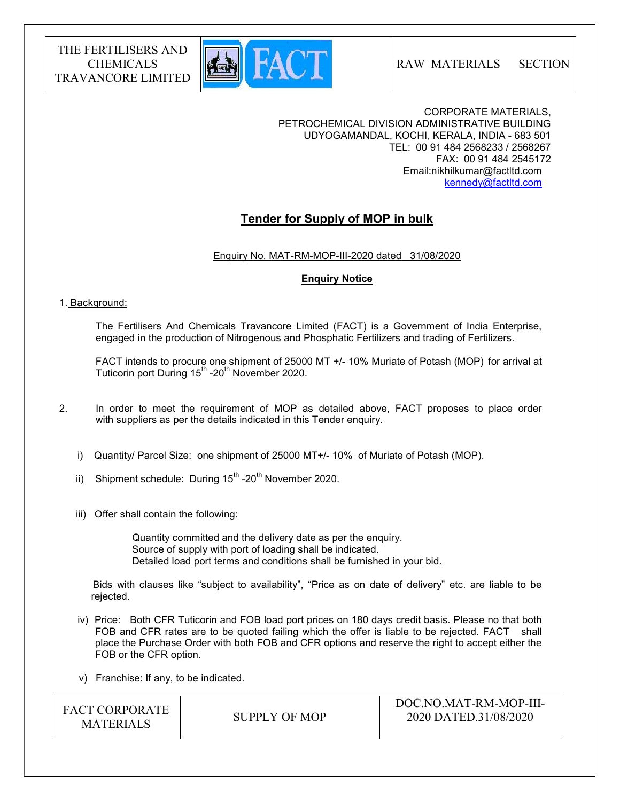

RAW MATERIALS SECTION

CORPORATE MATERIALS, PETROCHEMICAL DIVISION ADMINISTRATIVE BUILDING UDYOGAMANDAL, KOCHI, KERALA, INDIA - 683 501 TEL: 00 91 484 2568233 / 2568267 FAX: 00 91 484 2545172 Email:nikhilkumar@factltd.com kennedy@factltd.com

# Tender for Supply of MOP in bulk

Enquiry No. MAT-RM-MOP-III-2020 dated 31/08/2020

## Enquiry Notice

#### 1. Background:

 The Fertilisers And Chemicals Travancore Limited (FACT) is a Government of India Enterprise, engaged in the production of Nitrogenous and Phosphatic Fertilizers and trading of Fertilizers.

 FACT intends to procure one shipment of 25000 MT +/- 10% Muriate of Potash (MOP) for arrival at Tuticorin port During  $15<sup>th</sup>$  -20<sup>th</sup> November 2020.

- 2. In order to meet the requirement of MOP as detailed above, FACT proposes to place order with suppliers as per the details indicated in this Tender enquiry.
	- i) Quantity/ Parcel Size: one shipment of 25000 MT+/- 10% of Muriate of Potash (MOP).
	- ii) Shipment schedule: During  $15^{th}$  -20<sup>th</sup> November 2020.
	- iii) Offer shall contain the following:

 Quantity committed and the delivery date as per the enquiry. Source of supply with port of loading shall be indicated. Detailed load port terms and conditions shall be furnished in your bid.

 Bids with clauses like "subject to availability", "Price as on date of delivery" etc. are liable to be rejected.

- iv) Price: Both CFR Tuticorin and FOB load port prices on 180 days credit basis. Please no that both FOB and CFR rates are to be quoted failing which the offer is liable to be rejected. FACT shall place the Purchase Order with both FOB and CFR options and reserve the right to accept either the FOB or the CFR option.
- v) Franchise: If any, to be indicated.

| <b>FACT CORPORATE</b><br><b>MATERIALS</b> | SUPPLY OF MOP | DOC.NO.MAT-RM-MOP-III-<br>2020 DATED.31/08/2020 |
|-------------------------------------------|---------------|-------------------------------------------------|
|-------------------------------------------|---------------|-------------------------------------------------|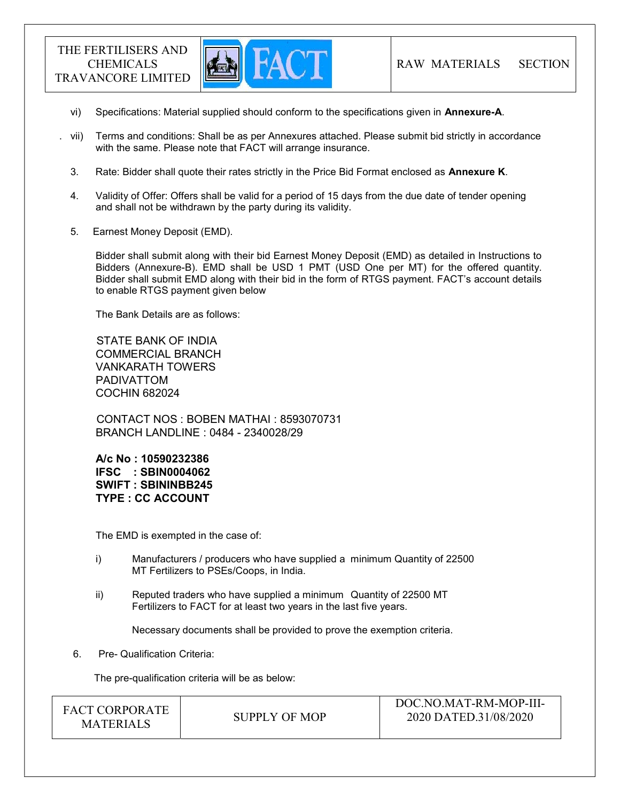

- vi) Specifications: Material supplied should conform to the specifications given in Annexure-A.
- . vii) Terms and conditions: Shall be as per Annexures attached. Please submit bid strictly in accordance with the same. Please note that FACT will arrange insurance.
- 3. Rate: Bidder shall quote their rates strictly in the Price Bid Format enclosed as Annexure K.
- 4. Validity of Offer: Offers shall be valid for a period of 15 days from the due date of tender opening and shall not be withdrawn by the party during its validity.
- 5. Earnest Money Deposit (EMD).

Bidder shall submit along with their bid Earnest Money Deposit (EMD) as detailed in Instructions to Bidders (Annexure-B). EMD shall be USD 1 PMT (USD One per MT) for the offered quantity. Bidder shall submit EMD along with their bid in the form of RTGS payment. FACT's account details to enable RTGS payment given below

The Bank Details are as follows:

 STATE BANK OF INDIA COMMERCIAL BRANCH VANKARATH TOWERS PADIVATTOM COCHIN 682024

 CONTACT NOS : BOBEN MATHAI : 8593070731 BRANCH LANDLINE : 0484 - 2340028/29

A/c No : 10590232386 IFSC : SBIN0004062 SWIFT : SBININBB245 TYPE : CC ACCOUNT

The EMD is exempted in the case of:

- i) Manufacturers / producers who have supplied a minimum Quantity of 22500 MT Fertilizers to PSEs/Coops, in India.
- ii) Reputed traders who have supplied a minimum Quantity of 22500 MT Fertilizers to FACT for at least two years in the last five years.

Necessary documents shall be provided to prove the exemption criteria.

6. Pre- Qualification Criteria:

The pre-qualification criteria will be as below:

| <b>FACT CORPORATE</b><br>SUPPLY OF MOP<br><b>MATERIALS</b> | DOC.NO.MAT-RM-MOP-III-<br>2020 DATED.31/08/2020 |
|------------------------------------------------------------|-------------------------------------------------|
|------------------------------------------------------------|-------------------------------------------------|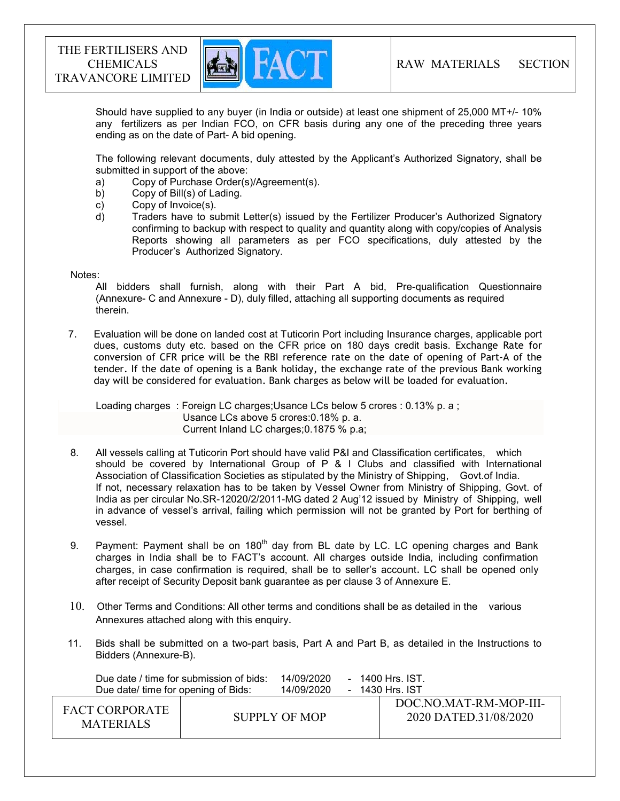

Should have supplied to any buyer (in India or outside) at least one shipment of 25,000 MT+/- 10% any fertilizers as per Indian FCO, on CFR basis during any one of the preceding three years ending as on the date of Part- A bid opening.

The following relevant documents, duly attested by the Applicant's Authorized Signatory, shall be submitted in support of the above:

- a) Copy of Purchase Order(s)/Agreement(s).
- b) Copy of Bill(s) of Lading.
- c) Copy of Invoice(s).
- d) Traders have to submit Letter(s) issued by the Fertilizer Producer's Authorized Signatory confirming to backup with respect to quality and quantity along with copy/copies of Analysis Reports showing all parameters as per FCO specifications, duly attested by the Producer's Authorized Signatory.

#### Notes:

 All bidders shall furnish, along with their Part A bid, Pre-qualification Questionnaire (Annexure- C and Annexure - D), duly filled, attaching all supporting documents as required therein.

7. Evaluation will be done on landed cost at Tuticorin Port including Insurance charges, applicable port dues, customs duty etc. based on the CFR price on 180 days credit basis. Exchange Rate for conversion of CFR price will be the RBI reference rate on the date of opening of Part-A of the tender. If the date of opening is a Bank holiday, the exchange rate of the previous Bank working day will be considered for evaluation. Bank charges as below will be loaded for evaluation.

 Loading charges : Foreign LC charges;Usance LCs below 5 crores : 0.13% p. a ; Usance LCs above 5 crores:0.18% p. a. Current Inland LC charges;0.1875 % p.a;

- 8. All vessels calling at Tuticorin Port should have valid P&I and Classification certificates, which should be covered by International Group of P & I Clubs and classified with International Association of Classification Societies as stipulated by the Ministry of Shipping, Govt.of India. If not, necessary relaxation has to be taken by Vessel Owner from Ministry of Shipping, Govt. of India as per circular No.SR-12020/2/2011-MG dated 2 Aug'12 issued by Ministry of Shipping, well in advance of vessel's arrival, failing which permission will not be granted by Port for berthing of vessel.
- 9. Payment: Payment shall be on 180<sup>th</sup> day from BL date by LC. LC opening charges and Bank charges in India shall be to FACT's account. All charges outside India, including confirmation charges, in case confirmation is required, shall be to seller's account. LC shall be opened only after receipt of Security Deposit bank guarantee as per clause 3 of Annexure E.
- 10. Other Terms and Conditions: All other terms and conditions shall be as detailed in the various Annexures attached along with this enquiry.
- 11. Bids shall be submitted on a two-part basis, Part A and Part B, as detailed in the Instructions to Bidders (Annexure-B).

| Due date / time for submission of bids: |  | 14/09/2020    | - 1400 Hrs. IST. |                                                 |
|-----------------------------------------|--|---------------|------------------|-------------------------------------------------|
| Due date/ time for opening of Bids:     |  | 14/09/2020    | - 1430 Hrs. IST  |                                                 |
| FACT CORPORATE<br><b>MATERIALS</b>      |  | SUPPLY OF MOP |                  | DOC.NO.MAT-RM-MOP-III-<br>2020 DATED.31/08/2020 |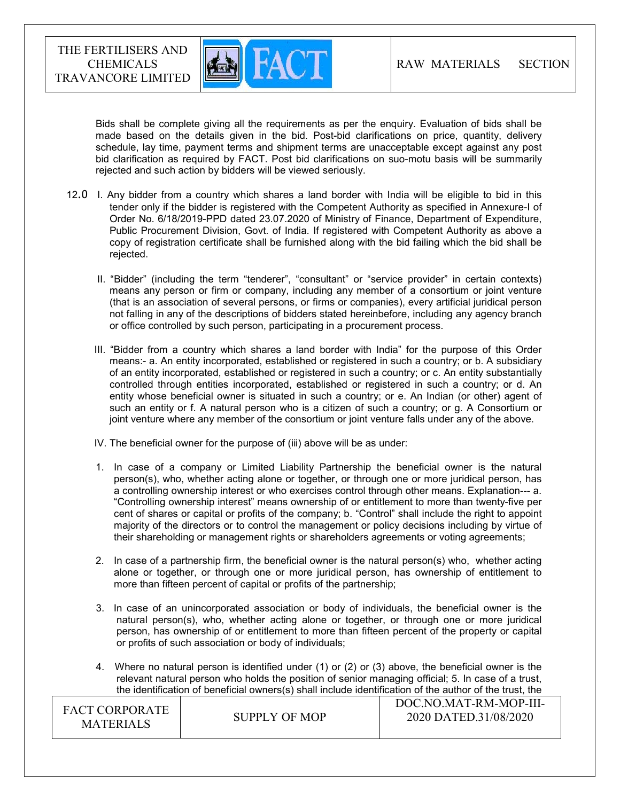

 Bids shall be complete giving all the requirements as per the enquiry. Evaluation of bids shall be made based on the details given in the bid. Post-bid clarifications on price, quantity, delivery schedule, lay time, payment terms and shipment terms are unacceptable except against any post bid clarification as required by FACT. Post bid clarifications on suo-motu basis will be summarily rejected and such action by bidders will be viewed seriously.

- 12.0 I. Any bidder from a country which shares a land border with India will be eligible to bid in this tender only if the bidder is registered with the Competent Authority as specified in Annexure-I of Order No. 6/18/2019-PPD dated 23.07.2020 of Ministry of Finance, Department of Expenditure, Public Procurement Division, Govt. of India. If registered with Competent Authority as above a copy of registration certificate shall be furnished along with the bid failing which the bid shall be rejected.
	- II. "Bidder" (including the term "tenderer", "consultant" or "service provider" in certain contexts) means any person or firm or company, including any member of a consortium or joint venture (that is an association of several persons, or firms or companies), every artificial juridical person not falling in any of the descriptions of bidders stated hereinbefore, including any agency branch or office controlled by such person, participating in a procurement process.
	- III. "Bidder from a country which shares a land border with India" for the purpose of this Order means:- a. An entity incorporated, established or registered in such a country; or b. A subsidiary of an entity incorporated, established or registered in such a country; or c. An entity substantially controlled through entities incorporated, established or registered in such a country; or d. An entity whose beneficial owner is situated in such a country; or e. An Indian (or other) agent of such an entity or f. A natural person who is a citizen of such a country; or g. A Consortium or joint venture where any member of the consortium or joint venture falls under any of the above.
	- IV. The beneficial owner for the purpose of (iii) above will be as under:
	- 1. In case of a company or Limited Liability Partnership the beneficial owner is the natural person(s), who, whether acting alone or together, or through one or more juridical person, has a controlling ownership interest or who exercises control through other means. Explanation--- a. "Controlling ownership interest" means ownership of or entitlement to more than twenty-five per cent of shares or capital or profits of the company; b. "Control" shall include the right to appoint majority of the directors or to control the management or policy decisions including by virtue of their shareholding or management rights or shareholders agreements or voting agreements;
	- 2. In case of a partnership firm, the beneficial owner is the natural person(s) who, whether acting alone or together, or through one or more juridical person, has ownership of entitlement to more than fifteen percent of capital or profits of the partnership;
	- 3. In case of an unincorporated association or body of individuals, the beneficial owner is the natural person(s), who, whether acting alone or together, or through one or more juridical person, has ownership of or entitlement to more than fifteen percent of the property or capital or profits of such association or body of individuals;
	- 4. Where no natural person is identified under (1) or (2) or (3) above, the beneficial owner is the relevant natural person who holds the position of senior managing official; 5. In case of a trust, the identification of beneficial owners(s) shall include identification of the author of the trust, the

| <b>FACT CORPORATE</b><br><b>MATERIALS</b> | SUPPLY OF MOP | DOC.NO.MAT-RM-MOP-III-<br>2020 DATED.31/08/2020 |
|-------------------------------------------|---------------|-------------------------------------------------|
|                                           |               |                                                 |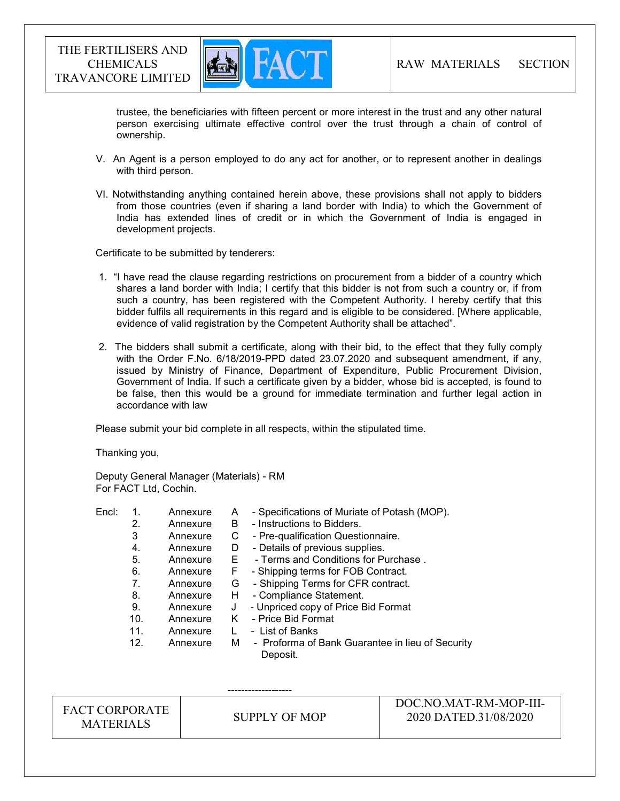

trustee, the beneficiaries with fifteen percent or more interest in the trust and any other natural person exercising ultimate effective control over the trust through a chain of control of ownership.

- V. An Agent is a person employed to do any act for another, or to represent another in dealings with third person.
- VI. Notwithstanding anything contained herein above, these provisions shall not apply to bidders from those countries (even if sharing a land border with India) to which the Government of India has extended lines of credit or in which the Government of India is engaged in development projects.

Certificate to be submitted by tenderers:

- 1. "I have read the clause regarding restrictions on procurement from a bidder of a country which shares a land border with India; I certify that this bidder is not from such a country or, if from such a country, has been registered with the Competent Authority. I hereby certify that this bidder fulfils all requirements in this regard and is eligible to be considered. [Where applicable, evidence of valid registration by the Competent Authority shall be attached".
- 2. The bidders shall submit a certificate, along with their bid, to the effect that they fully comply with the Order F.No. 6/18/2019-PPD dated 23.07.2020 and subsequent amendment, if any, issued by Ministry of Finance, Department of Expenditure, Public Procurement Division, Government of India. If such a certificate given by a bidder, whose bid is accepted, is found to be false, then this would be a ground for immediate termination and further legal action in accordance with law

Please submit your bid complete in all respects, within the stipulated time.

Thanking you,

Deputy General Manager (Materials) - RM For FACT Ltd, Cochin.

-------------------

Encl: 1. Annexure A - Specifications of Muriate of Potash (MOP). 2. Annexure B - Instructions to Bidders. 3 Annexure C - Pre-qualification Questionnaire. 4. Annexure D - Details of previous supplies. 5. Annexure E - Terms and Conditions for Purchase . 6. Annexure F - Shipping terms for FOB Contract. 7. Annexure G - Shipping Terms for CFR contract. 8. Annexure H - Compliance Statement. 9. Annexure J - Unpriced copy of Price Bid Format 10. Annexure K - Price Bid Format 11. Annexure L - List of Banks 12. Annexure M - Proforma of Bank Guarantee in lieu of Security Deposit.

FACT CORPORATE ET CONFORATE SUPPLY OF MOP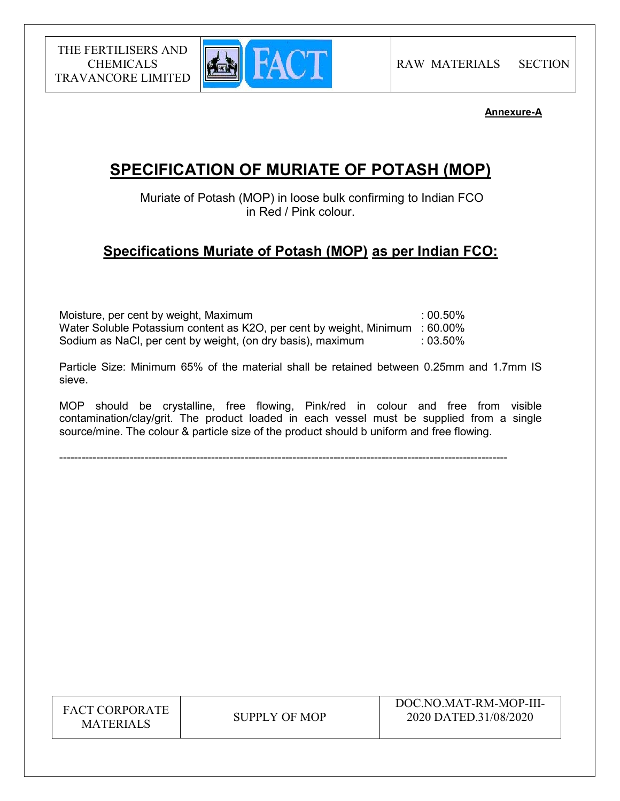

# Annexure-A

# SPECIFICATION OF MURIATE OF POTASH (MOP)

 Muriate of Potash (MOP) in loose bulk confirming to Indian FCO in Red / Pink colour.

# Specifications Muriate of Potash (MOP) as per Indian FCO:

| Moisture, per cent by weight, Maximum                                        | $: 00.50\%$ |
|------------------------------------------------------------------------------|-------------|
| Water Soluble Potassium content as K2O, per cent by weight, Minimum : 60.00% |             |
| Sodium as NaCl, per cent by weight, (on dry basis), maximum                  | $:03.50\%$  |

Particle Size: Minimum 65% of the material shall be retained between 0.25mm and 1.7mm IS sieve.

MOP should be crystalline, free flowing, Pink/red in colour and free from visible contamination/clay/grit. The product loaded in each vessel must be supplied from a single source/mine. The colour & particle size of the product should b uniform and free flowing.

-------------------------------------------------------------------------------------------------------------------------

| <b>FACT CORPORATE</b> |
|-----------------------|
| <b>MATERIALS</b>      |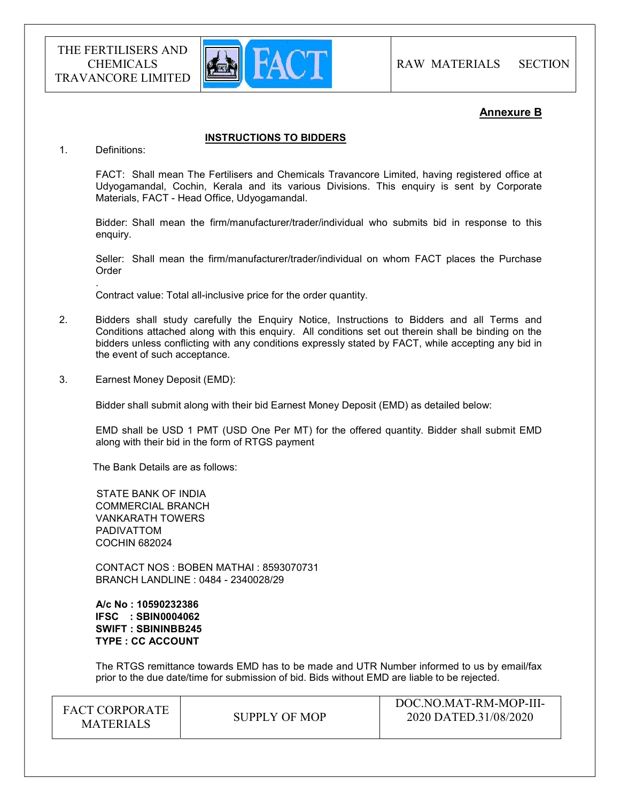

### Annexure B

#### INSTRUCTIONS TO BIDDERS

1. Definitions:

.

FACT: Shall mean The Fertilisers and Chemicals Travancore Limited, having registered office at Udyogamandal, Cochin, Kerala and its various Divisions. This enquiry is sent by Corporate Materials, FACT - Head Office, Udyogamandal.

Bidder: Shall mean the firm/manufacturer/trader/individual who submits bid in response to this enquiry.

Seller: Shall mean the firm/manufacturer/trader/individual on whom FACT places the Purchase Order

Contract value: Total all-inclusive price for the order quantity.

- 2. Bidders shall study carefully the Enquiry Notice, Instructions to Bidders and all Terms and Conditions attached along with this enquiry. All conditions set out therein shall be binding on the bidders unless conflicting with any conditions expressly stated by FACT, while accepting any bid in the event of such acceptance.
- 3. Earnest Money Deposit (EMD):

Bidder shall submit along with their bid Earnest Money Deposit (EMD) as detailed below:

EMD shall be USD 1 PMT (USD One Per MT) for the offered quantity. Bidder shall submit EMD along with their bid in the form of RTGS payment

The Bank Details are as follows:

 STATE BANK OF INDIA COMMERCIAL BRANCH VANKARATH TOWERS PADIVATTOM COCHIN 682024

 CONTACT NOS : BOBEN MATHAI : 8593070731 BRANCH LANDLINE : 0484 - 2340028/29

 A/c No : 10590232386 IFSC : SBIN0004062 SWIFT : SBININBB245 TYPE : CC ACCOUNT

The RTGS remittance towards EMD has to be made and UTR Number informed to us by email/fax prior to the due date/time for submission of bid. Bids without EMD are liable to be rejected.

| <b>FACT CORPORATE</b><br><b>MATERIALS</b> | SUPPLY OF MOP | DOC.NO.MAT-RM-MOP-III-<br>2020 DATED.31/08/2020 |
|-------------------------------------------|---------------|-------------------------------------------------|
|-------------------------------------------|---------------|-------------------------------------------------|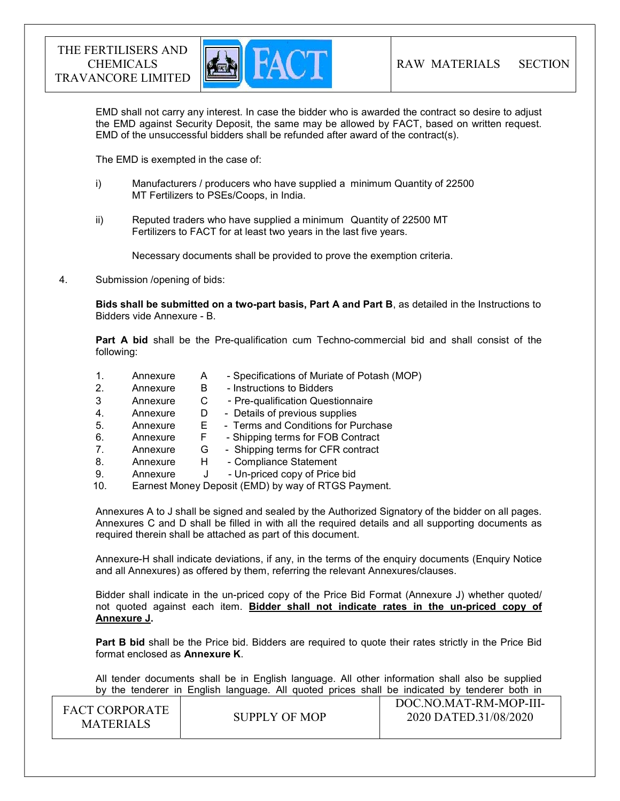

EMD shall not carry any interest. In case the bidder who is awarded the contract so desire to adjust the EMD against Security Deposit, the same may be allowed by FACT, based on written request. EMD of the unsuccessful bidders shall be refunded after award of the contract(s).

The EMD is exempted in the case of:

- i) Manufacturers / producers who have supplied a minimum Quantity of 22500 MT Fertilizers to PSEs/Coops, in India.
- ii) Reputed traders who have supplied a minimum Quantity of 22500 MT Fertilizers to FACT for at least two years in the last five years.

Necessary documents shall be provided to prove the exemption criteria.

4. Submission /opening of bids:

Bids shall be submitted on a two-part basis, Part A and Part B, as detailed in the Instructions to Bidders vide Annexure - B.

Part A bid shall be the Pre-qualification cum Techno-commercial bid and shall consist of the following:

- 1. Annexure A Specifications of Muriate of Potash (MOP) 2. Annexure B - Instructions to Bidders
- 3 Annexure C Pre-qualification Questionnaire
- 4. Annexure D Details of previous supplies
- 5. Annexure E Terms and Conditions for Purchase
- 6. Annexure F Shipping terms for FOB Contract
- 7. Annexure G Shipping terms for CFR contract
- 8. Annexure H Compliance Statement
- 9. Annexure J Un-priced copy of Price bid
- 10. Earnest Money Deposit (EMD) by way of RTGS Payment.

Annexures A to J shall be signed and sealed by the Authorized Signatory of the bidder on all pages. Annexures C and D shall be filled in with all the required details and all supporting documents as required therein shall be attached as part of this document.

Annexure-H shall indicate deviations, if any, in the terms of the enquiry documents (Enquiry Notice and all Annexures) as offered by them, referring the relevant Annexures/clauses.

Bidder shall indicate in the un-priced copy of the Price Bid Format (Annexure J) whether quoted/ not quoted against each item. Bidder shall not indicate rates in the un-priced copy of Annexure J.

**Part B bid** shall be the Price bid. Bidders are required to quote their rates strictly in the Price Bid format enclosed as Annexure K.

 All tender documents shall be in English language. All other information shall also be supplied by the tenderer in English language. All quoted prices shall be indicated by tenderer both in

| <b>FACT CORPORATE</b><br><b>MATERIALS</b> | SUPPLY OF MOP | DOC.NO.MAT-RM-MOP-III-<br>2020 DATED.31/08/2020 |
|-------------------------------------------|---------------|-------------------------------------------------|
|                                           |               |                                                 |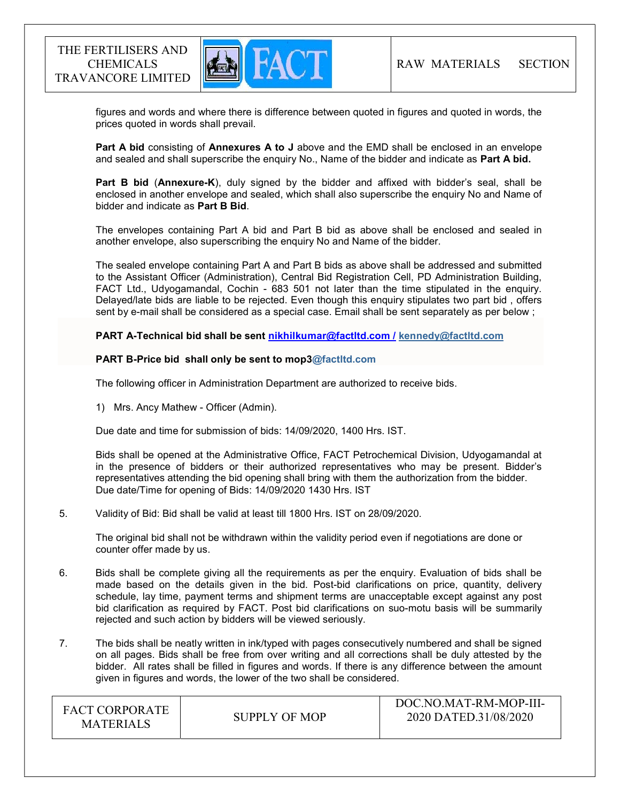

 figures and words and where there is difference between quoted in figures and quoted in words, the prices quoted in words shall prevail.

Part A bid consisting of Annexures A to J above and the EMD shall be enclosed in an envelope and sealed and shall superscribe the enquiry No., Name of the bidder and indicate as Part A bid.

Part B bid (Annexure-K), duly signed by the bidder and affixed with bidder's seal, shall be enclosed in another envelope and sealed, which shall also superscribe the enquiry No and Name of bidder and indicate as Part B Bid.

The envelopes containing Part A bid and Part B bid as above shall be enclosed and sealed in another envelope, also superscribing the enquiry No and Name of the bidder.

The sealed envelope containing Part A and Part B bids as above shall be addressed and submitted to the Assistant Officer (Administration), Central Bid Registration Cell, PD Administration Building, FACT Ltd., Udyogamandal, Cochin - 683 501 not later than the time stipulated in the enquiry. Delayed/late bids are liable to be rejected. Even though this enquiry stipulates two part bid , offers sent by e-mail shall be considered as a special case. Email shall be sent separately as per below ;

PART A-Technical bid shall be sent nikhilkumar@factltd.com / kennedy@factltd.com

#### PART B-Price bid shall only be sent to mop3@factltd.com

The following officer in Administration Department are authorized to receive bids.

1) Mrs. Ancy Mathew - Officer (Admin).

Due date and time for submission of bids: 14/09/2020, 1400 Hrs. IST.

Bids shall be opened at the Administrative Office, FACT Petrochemical Division, Udyogamandal at in the presence of bidders or their authorized representatives who may be present. Bidder's representatives attending the bid opening shall bring with them the authorization from the bidder. Due date/Time for opening of Bids: 14/09/2020 1430 Hrs. IST

#### 5. Validity of Bid: Bid shall be valid at least till 1800 Hrs. IST on 28/09/2020.

The original bid shall not be withdrawn within the validity period even if negotiations are done or counter offer made by us.

- 6. Bids shall be complete giving all the requirements as per the enquiry. Evaluation of bids shall be made based on the details given in the bid. Post-bid clarifications on price, quantity, delivery schedule, lay time, payment terms and shipment terms are unacceptable except against any post bid clarification as required by FACT. Post bid clarifications on suo-motu basis will be summarily rejected and such action by bidders will be viewed seriously.
- 7. The bids shall be neatly written in ink/typed with pages consecutively numbered and shall be signed on all pages. Bids shall be free from over writing and all corrections shall be duly attested by the bidder. All rates shall be filled in figures and words. If there is any difference between the amount given in figures and words, the lower of the two shall be considered.

| <b>FACT CORPORATE</b><br><b>MATERIALS</b> | SUPPLY OF MOP | DOC.NO.MAT-RM-MOP-III-<br>2020 DATED.31/08/2020 |
|-------------------------------------------|---------------|-------------------------------------------------|
|-------------------------------------------|---------------|-------------------------------------------------|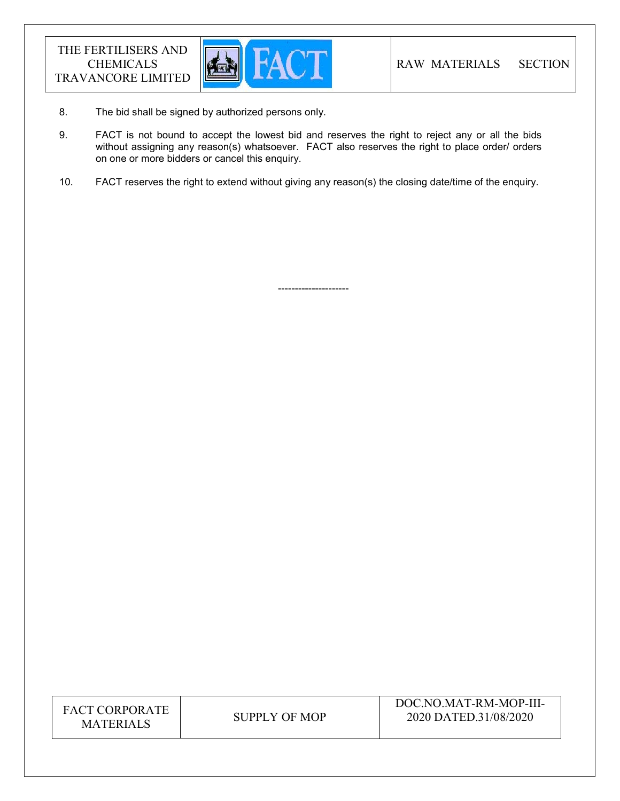

8. The bid shall be signed by authorized persons only.

---------------------

- 9. FACT is not bound to accept the lowest bid and reserves the right to reject any or all the bids without assigning any reason(s) whatsoever. FACT also reserves the right to place order/ orders on one or more bidders or cancel this enquiry.
- 10. FACT reserves the right to extend without giving any reason(s) the closing date/time of the enquiry.

| <b>FACT CORPORATE</b> |
|-----------------------|
| <b>MATERIALS</b>      |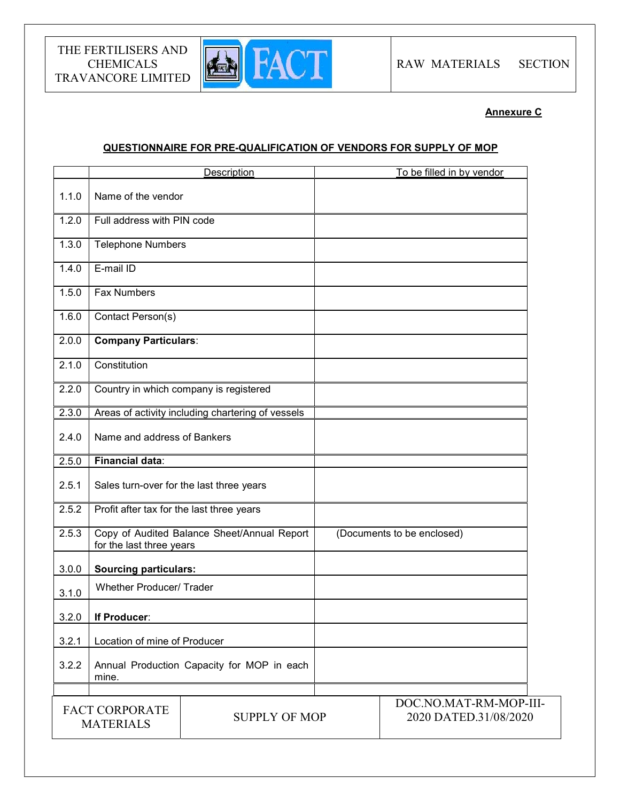

# Annexure C

## QUESTIONNAIRE FOR PRE-QUALIFICATION OF VENDORS FOR SUPPLY OF MOP

|       | Description                                                             | To be filled in by vendor                       |
|-------|-------------------------------------------------------------------------|-------------------------------------------------|
| 1.1.0 | Name of the vendor                                                      |                                                 |
| 1.2.0 | Full address with PIN code                                              |                                                 |
| 1.3.0 | <b>Telephone Numbers</b>                                                |                                                 |
| 1.4.0 | E-mail ID                                                               |                                                 |
| 1.5.0 | <b>Fax Numbers</b>                                                      |                                                 |
| 1.6.0 | Contact Person(s)                                                       |                                                 |
| 2.0.0 | <b>Company Particulars:</b>                                             |                                                 |
| 2.1.0 | Constitution                                                            |                                                 |
| 2.2.0 | Country in which company is registered                                  |                                                 |
| 2.3.0 | Areas of activity including chartering of vessels                       |                                                 |
| 2.4.0 | Name and address of Bankers                                             |                                                 |
| 2.5.0 | Financial data:                                                         |                                                 |
| 2.5.1 | Sales turn-over for the last three years                                |                                                 |
| 2.5.2 | Profit after tax for the last three years                               |                                                 |
| 2.5.3 | Copy of Audited Balance Sheet/Annual Report<br>for the last three years | (Documents to be enclosed)                      |
| 3.0.0 | <b>Sourcing particulars:</b>                                            |                                                 |
| 3.1.0 | <b>Whether Producer/ Trader</b>                                         |                                                 |
| 3.2.0 | If Producer:                                                            |                                                 |
| 3.2.1 | Location of mine of Producer                                            |                                                 |
| 3.2.2 | Annual Production Capacity for MOP in each<br>mine.                     |                                                 |
|       | <b>FACT CORPORATE</b><br><b>SUPPLY OF MOP</b><br><b>MATERIALS</b>       | DOC.NO.MAT-RM-MOP-III-<br>2020 DATED.31/08/2020 |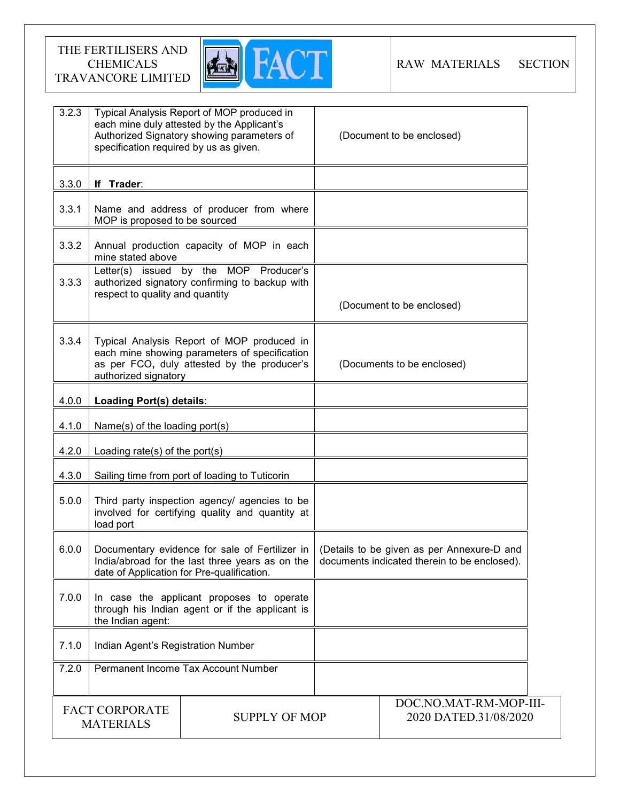

| 3.2.3                                                             | specification required by us as given.                                                                                                                             | Typical Analysis Report of MOP produced in<br>each mine duly attested by the Applicant's<br>Authorized Signatory showing parameters of | (Document to be enclosed)                                                                  |
|-------------------------------------------------------------------|--------------------------------------------------------------------------------------------------------------------------------------------------------------------|----------------------------------------------------------------------------------------------------------------------------------------|--------------------------------------------------------------------------------------------|
| 3.3.0                                                             | If Trader:                                                                                                                                                         |                                                                                                                                        |                                                                                            |
| 3.3.1                                                             | MOP is proposed to be sourced                                                                                                                                      | Name and address of producer from where                                                                                                |                                                                                            |
| 3.3.2                                                             | mine stated above                                                                                                                                                  | Annual production capacity of MOP in each                                                                                              |                                                                                            |
| 3.3.3                                                             | respect to quality and quantity                                                                                                                                    | Letter(s) issued by the MOP Producer's<br>authorized signatory confirming to backup with                                               | (Document to be enclosed)                                                                  |
| 3.3.4                                                             | Typical Analysis Report of MOP produced in<br>each mine showing parameters of specification<br>as per FCO, duly attested by the producer's<br>authorized signatory |                                                                                                                                        | (Documents to be enclosed)                                                                 |
| 4.0.0                                                             | Loading Port(s) details:                                                                                                                                           |                                                                                                                                        |                                                                                            |
| 4.1.0                                                             | Name(s) of the loading port(s)                                                                                                                                     |                                                                                                                                        |                                                                                            |
| 4.2.0                                                             | Loading rate(s) of the port(s)                                                                                                                                     |                                                                                                                                        |                                                                                            |
| 4.3.0                                                             |                                                                                                                                                                    | Sailing time from port of loading to Tuticorin                                                                                         |                                                                                            |
| 5.0.0                                                             | load port                                                                                                                                                          | Third party inspection agency/ agencies to be<br>involved for certifying quality and quantity at                                       |                                                                                            |
| 6.0.0                                                             | Documentary evidence for sale of Fertilizer in  <br>India/abroad for the last three years as on the<br>date of Application for Pre-qualification.                  |                                                                                                                                        | (Details to be given as per Annexure-D and<br>documents indicated therein to be enclosed). |
| 7.0.0                                                             | In case the applicant proposes to operate<br>through his Indian agent or if the applicant is<br>the Indian agent:                                                  |                                                                                                                                        |                                                                                            |
| 7.1.0                                                             | Indian Agent's Registration Number                                                                                                                                 |                                                                                                                                        |                                                                                            |
| 7.2.0                                                             |                                                                                                                                                                    | Permanent Income Tax Account Number                                                                                                    |                                                                                            |
| <b>FACT CORPORATE</b><br><b>SUPPLY OF MOP</b><br><b>MATERIALS</b> |                                                                                                                                                                    | DOC.NO.MAT-RM-MOP-III-<br>2020 DATED.31/08/2020                                                                                        |                                                                                            |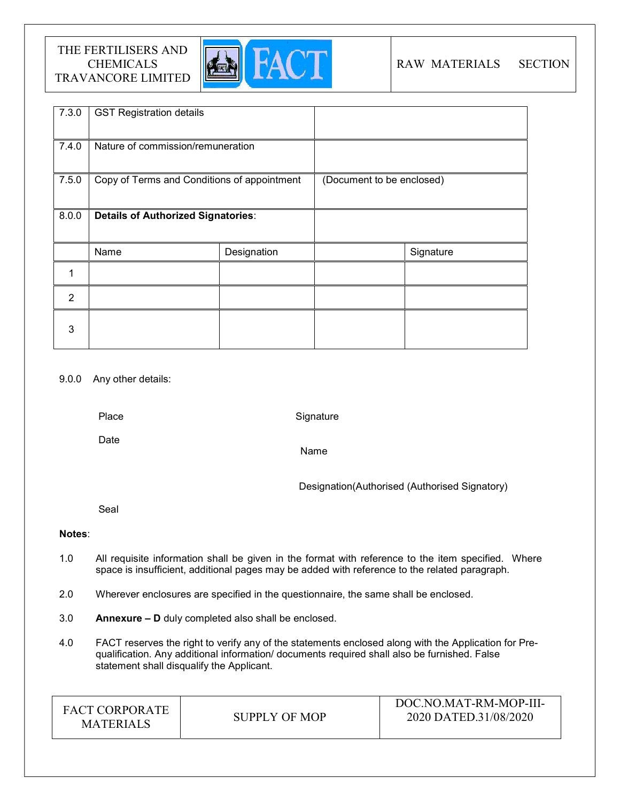

# RAW MATERIALS SECTION

| 7.3.0          | <b>GST Registration details</b>             |             |                           |           |
|----------------|---------------------------------------------|-------------|---------------------------|-----------|
| 7.4.0          | Nature of commission/remuneration           |             |                           |           |
| 7.5.0          | Copy of Terms and Conditions of appointment |             | (Document to be enclosed) |           |
| 8.0.0          | <b>Details of Authorized Signatories:</b>   |             |                           |           |
|                | Name                                        | Designation |                           | Signature |
|                |                                             |             |                           |           |
| $\overline{2}$ |                                             |             |                           |           |
| 3              |                                             |             |                           |           |

## 9.0.0 Any other details:

Place

**Signature** 

Date

Name

Designation(Authorised (Authorised Signatory)

Seal

## Notes:

- 1.0 All requisite information shall be given in the format with reference to the item specified. Where space is insufficient, additional pages may be added with reference to the related paragraph.
- 2.0 Wherever enclosures are specified in the questionnaire, the same shall be enclosed.
- 3.0 Annexure D duly completed also shall be enclosed.
- 4.0 FACT reserves the right to verify any of the statements enclosed along with the Application for Prequalification. Any additional information/ documents required shall also be furnished. False statement shall disqualify the Applicant.

| <b>FACT CORPORATE</b><br><b>MATERIALS</b> | SUPPLY OF MOP | DOC.NO.MAT-RM-MOP-III-<br>2020 DATED.31/08/2020 |
|-------------------------------------------|---------------|-------------------------------------------------|
|-------------------------------------------|---------------|-------------------------------------------------|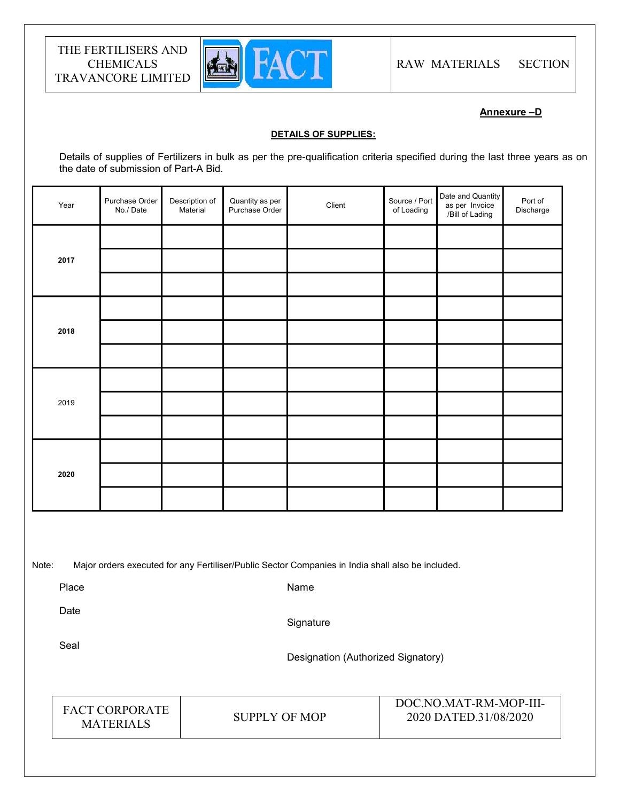

## Annexure –D

#### DETAILS OF SUPPLIES:

Details of supplies of Fertilizers in bulk as per the pre-qualification criteria specified during the last three years as on the date of submission of Part-A Bid.

| Year | Purchase Order<br>No./Date | Description of<br>Material | Quantity as per<br>Purchase Order | Client | Source / Port<br>of Loading | Date and Quantity<br>as per Invoice | Port of<br>Discharge |  |
|------|----------------------------|----------------------------|-----------------------------------|--------|-----------------------------|-------------------------------------|----------------------|--|
|      |                            |                            |                                   |        |                             |                                     |                      |  |
| 2017 |                            |                            |                                   |        |                             |                                     |                      |  |
|      |                            |                            |                                   |        |                             |                                     |                      |  |
|      |                            |                            |                                   |        |                             |                                     |                      |  |
| 2018 |                            |                            |                                   |        |                             |                                     |                      |  |
|      |                            |                            |                                   |        |                             |                                     |                      |  |
|      |                            |                            |                                   |        |                             |                                     |                      |  |
| 2019 |                            |                            |                                   |        |                             |                                     |                      |  |
|      |                            |                            |                                   |        |                             |                                     |                      |  |
| 2020 |                            |                            |                                   |        |                             |                                     |                      |  |
|      |                            |                            |                                   |        |                             |                                     |                      |  |
|      |                            |                            |                                   |        |                             |                                     |                      |  |
|      |                            |                            |                                   |        |                             |                                     |                      |  |

Note: Major orders executed for any Fertiliser/Public Sector Companies in India shall also be included.

Place

Name

Date

**Signature** 

Seal

Designation (Authorized Signatory)

FACT CORPORATE MATERIALS SUPPLY OF MOP

DOC.NO.MAT-RM-MOP-III-2020 DATED.31/08/2020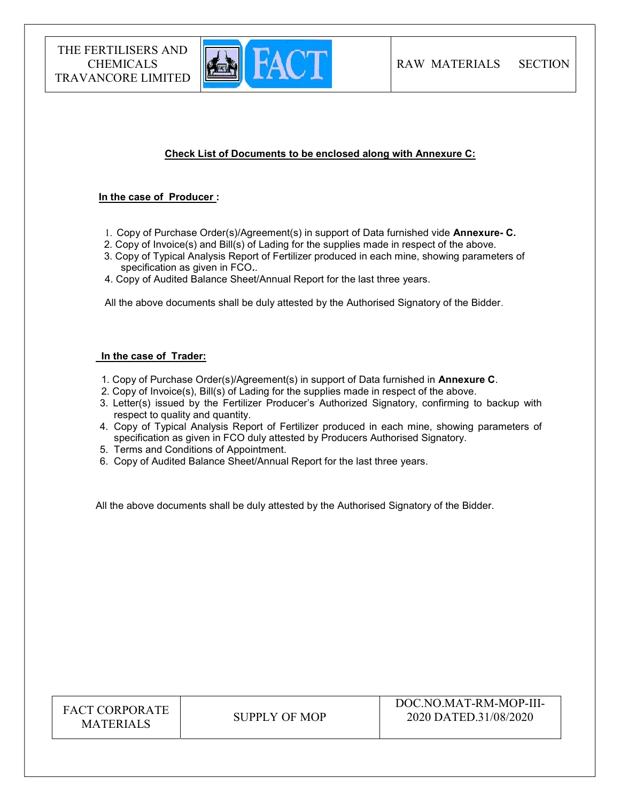

## Check List of Documents to be enclosed along with Annexure C:

#### In the case of Producer :

- 1. Copy of Purchase Order(s)/Agreement(s) in support of Data furnished vide Annexure- C.
- 2. Copy of Invoice(s) and Bill(s) of Lading for the supplies made in respect of the above.
- 3. Copy of Typical Analysis Report of Fertilizer produced in each mine, showing parameters of specification as given in FCO..
- 4. Copy of Audited Balance Sheet/Annual Report for the last three years.

All the above documents shall be duly attested by the Authorised Signatory of the Bidder.

#### In the case of Trader:

- 1. Copy of Purchase Order(s)/Agreement(s) in support of Data furnished in Annexure C.
- 2. Copy of Invoice(s), Bill(s) of Lading for the supplies made in respect of the above.
- 3. Letter(s) issued by the Fertilizer Producer's Authorized Signatory, confirming to backup with respect to quality and quantity.
- 4. Copy of Typical Analysis Report of Fertilizer produced in each mine, showing parameters of specification as given in FCO duly attested by Producers Authorised Signatory.
- 5. Terms and Conditions of Appointment.
- 6. Copy of Audited Balance Sheet/Annual Report for the last three years.

All the above documents shall be duly attested by the Authorised Signatory of the Bidder.

| <b>FACT CORPORATE</b> |
|-----------------------|
| <b>MATERIALS</b>      |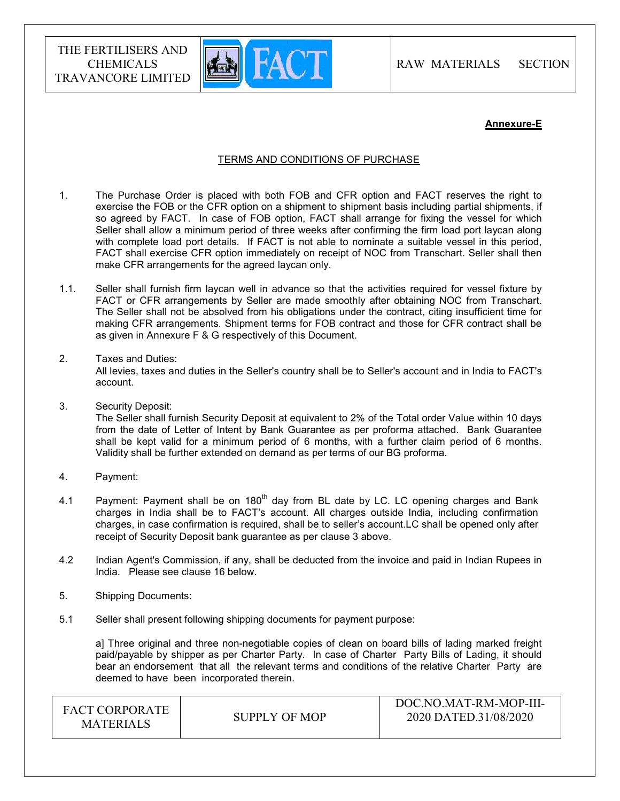

RAW MATERIALS SECTION

#### Annexure-E

#### TERMS AND CONDITIONS OF PURCHASE

- 1. The Purchase Order is placed with both FOB and CFR option and FACT reserves the right to exercise the FOB or the CFR option on a shipment to shipment basis including partial shipments, if so agreed by FACT. In case of FOB option, FACT shall arrange for fixing the vessel for which Seller shall allow a minimum period of three weeks after confirming the firm load port laycan along with complete load port details. If FACT is not able to nominate a suitable vessel in this period, FACT shall exercise CFR option immediately on receipt of NOC from Transchart. Seller shall then make CFR arrangements for the agreed laycan only.
- 1.1. Seller shall furnish firm laycan well in advance so that the activities required for vessel fixture by FACT or CFR arrangements by Seller are made smoothly after obtaining NOC from Transchart. The Seller shall not be absolved from his obligations under the contract, citing insufficient time for making CFR arrangements. Shipment terms for FOB contract and those for CFR contract shall be as given in Annexure F & G respectively of this Document.
- 2. Taxes and Duties:

All levies, taxes and duties in the Seller's country shall be to Seller's account and in India to FACT's account.

3. Security Deposit:

The Seller shall furnish Security Deposit at equivalent to 2% of the Total order Value within 10 days from the date of Letter of Intent by Bank Guarantee as per proforma attached. Bank Guarantee shall be kept valid for a minimum period of 6 months, with a further claim period of 6 months. Validity shall be further extended on demand as per terms of our BG proforma.

- 4. Payment:
- 4.1 Payment: Payment shall be on  $180<sup>th</sup>$  day from BL date by LC. LC opening charges and Bank charges in India shall be to FACT's account. All charges outside India, including confirmation charges, in case confirmation is required, shall be to seller's account.LC shall be opened only after receipt of Security Deposit bank guarantee as per clause 3 above.
- 4.2 Indian Agent's Commission, if any, shall be deducted from the invoice and paid in Indian Rupees in India. Please see clause 16 below.
- 5. Shipping Documents:
- 5.1 Seller shall present following shipping documents for payment purpose:

a] Three original and three non-negotiable copies of clean on board bills of lading marked freight paid/payable by shipper as per Charter Party. In case of Charter Party Bills of Lading, it should bear an endorsement that all the relevant terms and conditions of the relative Charter Party are deemed to have been incorporated therein.

| <b>FACT CORPORATE</b> |               | DOC.NO.MAT-RM-MOP-III- |
|-----------------------|---------------|------------------------|
| <b>MATERIALS</b>      | SUPPLY OF MOP | 2020 DATED.31/08/2020  |
|                       |               |                        |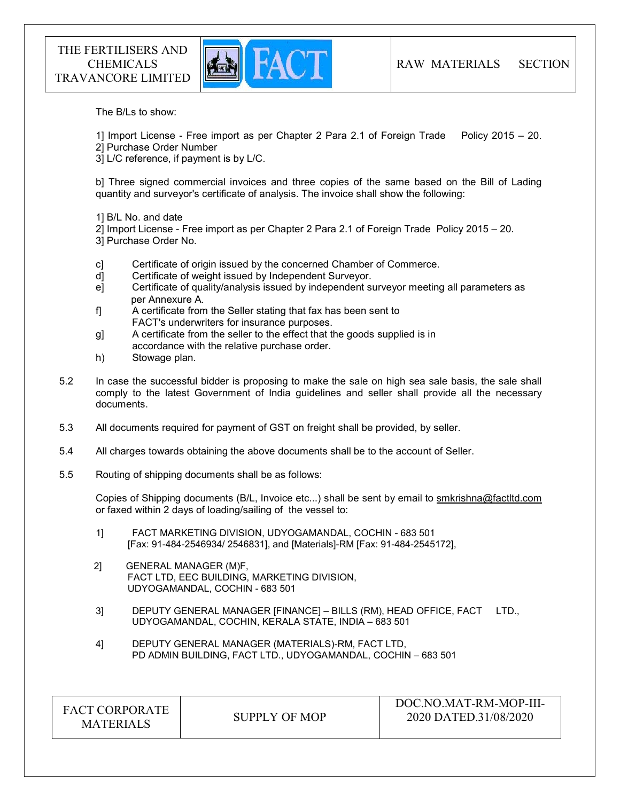

The B/Ls to show:

1] Import License - Free import as per Chapter 2 Para 2.1 of Foreign Trade Policy 2015 – 20.

2] Purchase Order Number

3] L/C reference, if payment is by L/C.

b] Three signed commercial invoices and three copies of the same based on the Bill of Lading quantity and surveyor's certificate of analysis. The invoice shall show the following:

1] B/L No. and date

2] Import License - Free import as per Chapter 2 Para 2.1 of Foreign Trade Policy 2015 – 20. 3] Purchase Order No.

- c] Certificate of origin issued by the concerned Chamber of Commerce.
- d] Certificate of weight issued by Independent Surveyor.
- e] Certificate of quality/analysis issued by independent surveyor meeting all parameters as per Annexure A.
- f] A certificate from the Seller stating that fax has been sent to FACT's underwriters for insurance purposes.
- g] A certificate from the seller to the effect that the goods supplied is in accordance with the relative purchase order.
- h) Stowage plan.
- 5.2 In case the successful bidder is proposing to make the sale on high sea sale basis, the sale shall comply to the latest Government of India guidelines and seller shall provide all the necessary documents.
- 5.3 All documents required for payment of GST on freight shall be provided, by seller.
- 5.4 All charges towards obtaining the above documents shall be to the account of Seller.
- 5.5 Routing of shipping documents shall be as follows:

 Copies of Shipping documents (B/L, Invoice etc...) shall be sent by email to smkrishna@factltd.com or faxed within 2 days of loading/sailing of the vessel to:

- 1] FACT MARKETING DIVISION, UDYOGAMANDAL, COCHIN 683 501 [Fax: 91-484-2546934/ 2546831], and [Materials]-RM [Fax: 91-484-2545172],
- 2] GENERAL MANAGER (M)F, FACT LTD, EEC BUILDING, MARKETING DIVISION, UDYOGAMANDAL, COCHIN - 683 501
- 3] DEPUTY GENERAL MANAGER [FINANCE] BILLS (RM), HEAD OFFICE, FACT LTD., UDYOGAMANDAL, COCHIN, KERALA STATE, INDIA – 683 501
- 4] DEPUTY GENERAL MANAGER (MATERIALS)-RM, FACT LTD, PD ADMIN BUILDING, FACT LTD., UDYOGAMANDAL, COCHIN – 683 501

| <b>FACT CORPORATE</b><br>SUPPLY OF MOP<br><b>MATERIALS</b> | DOC.NO.MAT-RM-MOP-III-<br>2020 DATED.31/08/2020 |
|------------------------------------------------------------|-------------------------------------------------|
|------------------------------------------------------------|-------------------------------------------------|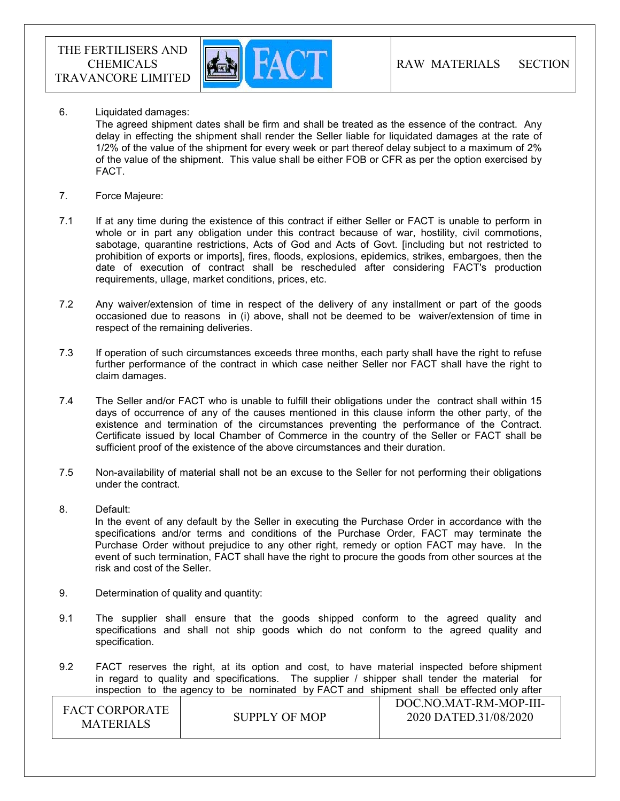

6. Liquidated damages:

The agreed shipment dates shall be firm and shall be treated as the essence of the contract. Any delay in effecting the shipment shall render the Seller liable for liquidated damages at the rate of 1/2% of the value of the shipment for every week or part thereof delay subject to a maximum of 2% of the value of the shipment. This value shall be either FOB or CFR as per the option exercised by FACT.

- 7. Force Majeure:
- 7.1 If at any time during the existence of this contract if either Seller or FACT is unable to perform in whole or in part any obligation under this contract because of war, hostility, civil commotions, sabotage, quarantine restrictions, Acts of God and Acts of Govt. [including but not restricted to prohibition of exports or imports], fires, floods, explosions, epidemics, strikes, embargoes, then the date of execution of contract shall be rescheduled after considering FACT's production requirements, ullage, market conditions, prices, etc.
- 7.2 Any waiver/extension of time in respect of the delivery of any installment or part of the goods occasioned due to reasons in (i) above, shall not be deemed to be waiver/extension of time in respect of the remaining deliveries.
- 7.3 If operation of such circumstances exceeds three months, each party shall have the right to refuse further performance of the contract in which case neither Seller nor FACT shall have the right to claim damages.
- 7.4 The Seller and/or FACT who is unable to fulfill their obligations under the contract shall within 15 days of occurrence of any of the causes mentioned in this clause inform the other party, of the existence and termination of the circumstances preventing the performance of the Contract. Certificate issued by local Chamber of Commerce in the country of the Seller or FACT shall be sufficient proof of the existence of the above circumstances and their duration.
- 7.5 Non-availability of material shall not be an excuse to the Seller for not performing their obligations under the contract.
- 8. Default:

In the event of any default by the Seller in executing the Purchase Order in accordance with the specifications and/or terms and conditions of the Purchase Order, FACT may terminate the Purchase Order without prejudice to any other right, remedy or option FACT may have. In the event of such termination, FACT shall have the right to procure the goods from other sources at the risk and cost of the Seller.

- 9. Determination of quality and quantity:
- 9.1 The supplier shall ensure that the goods shipped conform to the agreed quality and specifications and shall not ship goods which do not conform to the agreed quality and specification.
- 9.2 FACT reserves the right, at its option and cost, to have material inspected before shipment in regard to quality and specifications. The supplier / shipper shall tender the material for inspection to the agency to be nominated by FACT and shipment shall be effected only after

| <b>FACT CORPORATE</b><br><b>MATERIALS</b> | SUPPLY OF MOP | DOC.NO.MAT-RM-MOP-III-<br>2020 DATED.31/08/2020 |
|-------------------------------------------|---------------|-------------------------------------------------|
|-------------------------------------------|---------------|-------------------------------------------------|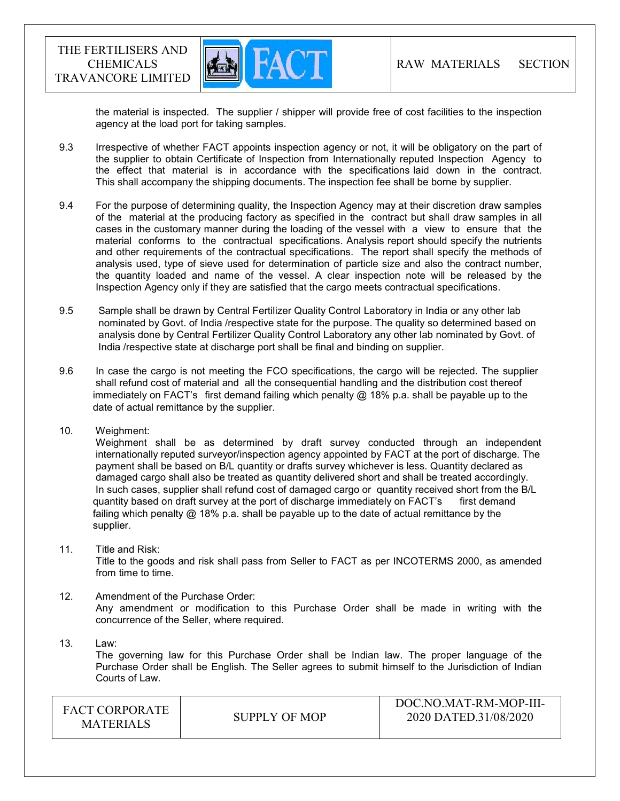

the material is inspected. The supplier / shipper will provide free of cost facilities to the inspection agency at the load port for taking samples.

- 9.3 Irrespective of whether FACT appoints inspection agency or not, it will be obligatory on the part of the supplier to obtain Certificate of Inspection from Internationally reputed Inspection Agency to the effect that material is in accordance with the specifications laid down in the contract. This shall accompany the shipping documents. The inspection fee shall be borne by supplier.
- 9.4 For the purpose of determining quality, the Inspection Agency may at their discretion draw samples of the material at the producing factory as specified in the contract but shall draw samples in all cases in the customary manner during the loading of the vessel with a view to ensure that the material conforms to the contractual specifications. Analysis report should specify the nutrients and other requirements of the contractual specifications. The report shall specify the methods of analysis used, type of sieve used for determination of particle size and also the contract number, the quantity loaded and name of the vessel. A clear inspection note will be released by the Inspection Agency only if they are satisfied that the cargo meets contractual specifications.
- 9.5 Sample shall be drawn by Central Fertilizer Quality Control Laboratory in India or any other lab nominated by Govt. of India /respective state for the purpose. The quality so determined based on analysis done by Central Fertilizer Quality Control Laboratory any other lab nominated by Govt. of India /respective state at discharge port shall be final and binding on supplier.
- 9.6 In case the cargo is not meeting the FCO specifications, the cargo will be rejected. The supplier shall refund cost of material and all the consequential handling and the distribution cost thereof immediately on FACT's first demand failing which penalty  $@18\%$  p.a. shall be payable up to the date of actual remittance by the supplier.
- 10. Weighment:

 Weighment shall be as determined by draft survey conducted through an independent internationally reputed surveyor/inspection agency appointed by FACT at the port of discharge. The payment shall be based on B/L quantity or drafts survey whichever is less. Quantity declared as damaged cargo shall also be treated as quantity delivered short and shall be treated accordingly. In such cases, supplier shall refund cost of damaged cargo or quantity received short from the B/L quantity based on draft survey at the port of discharge immediately on FACT's first demand failing which penalty @ 18% p.a. shall be payable up to the date of actual remittance by the supplier.

- 11. Title and Risk: Title to the goods and risk shall pass from Seller to FACT as per INCOTERMS 2000, as amended from time to time.
- 12. Amendment of the Purchase Order: Any amendment or modification to this Purchase Order shall be made in writing with the concurrence of the Seller, where required.
- 13. Law: The governing law for this Purchase Order shall be Indian law. The proper language of the Purchase Order shall be English. The Seller agrees to submit himself to the Jurisdiction of Indian Courts of Law.

| <b>FACT CORPORATE</b><br><b>MATERIALS</b> | SUPPLY OF MOP | DOC.NO.MAT-RM-MOP-III-<br>2020 DATED.31/08/2020 |
|-------------------------------------------|---------------|-------------------------------------------------|
|-------------------------------------------|---------------|-------------------------------------------------|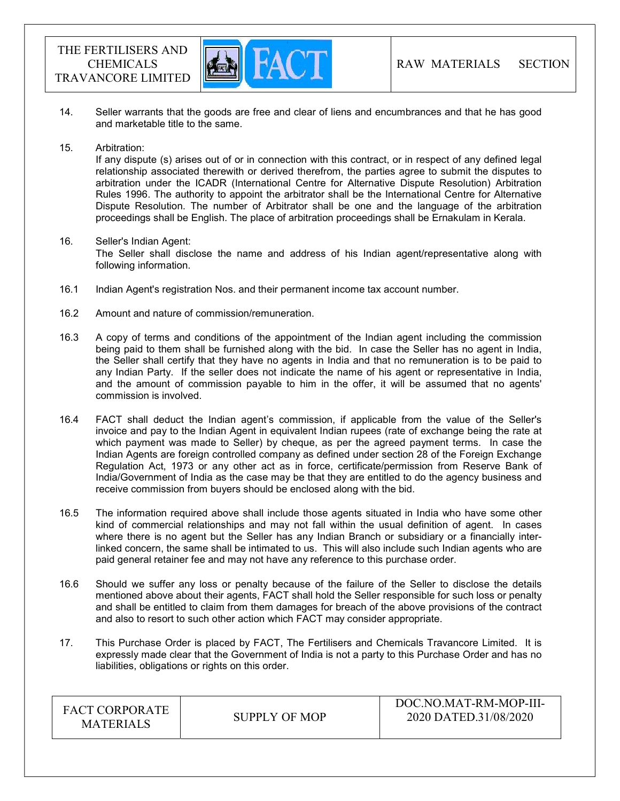

- 14. Seller warrants that the goods are free and clear of liens and encumbrances and that he has good and marketable title to the same.
- 15. Arbitration:

If any dispute (s) arises out of or in connection with this contract, or in respect of any defined legal relationship associated therewith or derived therefrom, the parties agree to submit the disputes to arbitration under the ICADR (International Centre for Alternative Dispute Resolution) Arbitration Rules 1996. The authority to appoint the arbitrator shall be the International Centre for Alternative Dispute Resolution. The number of Arbitrator shall be one and the language of the arbitration proceedings shall be English. The place of arbitration proceedings shall be Ernakulam in Kerala.

#### 16. Seller's Indian Agent:

The Seller shall disclose the name and address of his Indian agent/representative along with following information.

- 16.1 Indian Agent's registration Nos. and their permanent income tax account number.
- 16.2 Amount and nature of commission/remuneration.
- 16.3 A copy of terms and conditions of the appointment of the Indian agent including the commission being paid to them shall be furnished along with the bid. In case the Seller has no agent in India, the Seller shall certify that they have no agents in India and that no remuneration is to be paid to any Indian Party. If the seller does not indicate the name of his agent or representative in India, and the amount of commission payable to him in the offer, it will be assumed that no agents' commission is involved.
- 16.4 FACT shall deduct the Indian agent's commission, if applicable from the value of the Seller's invoice and pay to the Indian Agent in equivalent Indian rupees (rate of exchange being the rate at which payment was made to Seller) by cheque, as per the agreed payment terms. In case the Indian Agents are foreign controlled company as defined under section 28 of the Foreign Exchange Regulation Act, 1973 or any other act as in force, certificate/permission from Reserve Bank of India/Government of India as the case may be that they are entitled to do the agency business and receive commission from buyers should be enclosed along with the bid.
- 16.5 The information required above shall include those agents situated in India who have some other kind of commercial relationships and may not fall within the usual definition of agent. In cases where there is no agent but the Seller has any Indian Branch or subsidiary or a financially interlinked concern, the same shall be intimated to us. This will also include such Indian agents who are paid general retainer fee and may not have any reference to this purchase order.
- 16.6 Should we suffer any loss or penalty because of the failure of the Seller to disclose the details mentioned above about their agents, FACT shall hold the Seller responsible for such loss or penalty and shall be entitled to claim from them damages for breach of the above provisions of the contract and also to resort to such other action which FACT may consider appropriate.
- 17. This Purchase Order is placed by FACT, The Fertilisers and Chemicals Travancore Limited. It is expressly made clear that the Government of India is not a party to this Purchase Order and has no liabilities, obligations or rights on this order.

| <b>FACT CORPORATE</b><br><b>MATERIALS</b> | SUPPLY OF MOP | DOC.NO.MAT-RM-MOP-III-<br>2020 DATED.31/08/2020 |
|-------------------------------------------|---------------|-------------------------------------------------|
|-------------------------------------------|---------------|-------------------------------------------------|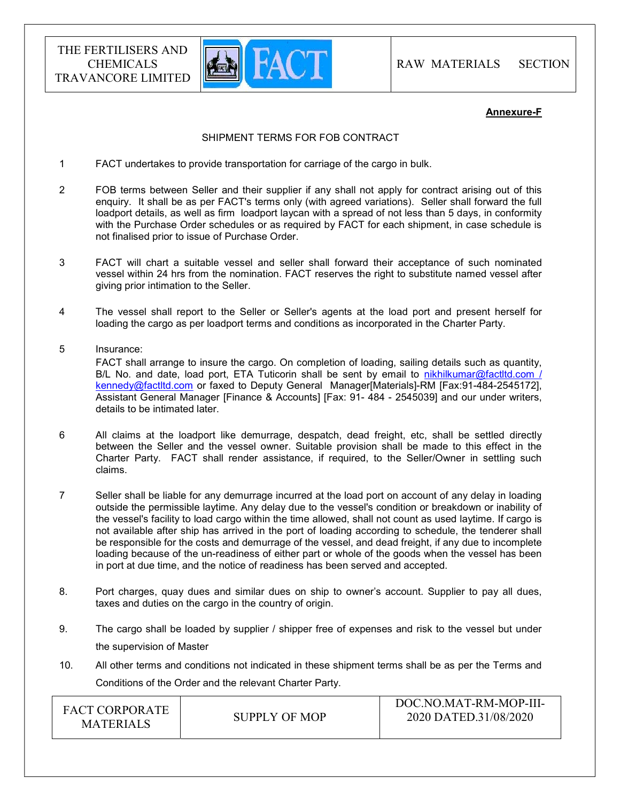

#### Annexure-F

#### SHIPMENT TERMS FOR FOB CONTRACT

- 1 FACT undertakes to provide transportation for carriage of the cargo in bulk.
- 2 FOB terms between Seller and their supplier if any shall not apply for contract arising out of this enquiry. It shall be as per FACT's terms only (with agreed variations). Seller shall forward the full loadport details, as well as firm loadport laycan with a spread of not less than 5 days, in conformity with the Purchase Order schedules or as required by FACT for each shipment, in case schedule is not finalised prior to issue of Purchase Order.
- 3 FACT will chart a suitable vessel and seller shall forward their acceptance of such nominated vessel within 24 hrs from the nomination. FACT reserves the right to substitute named vessel after giving prior intimation to the Seller.
- 4 The vessel shall report to the Seller or Seller's agents at the load port and present herself for loading the cargo as per loadport terms and conditions as incorporated in the Charter Party.
- 5 Insurance: FACT shall arrange to insure the cargo. On completion of loading, sailing details such as quantity, B/L No. and date, load port, ETA Tuticorin shall be sent by email to nikhilkumar@factltd.com / kennedy@factltd.com or faxed to Deputy General Manager[Materials]-RM [Fax:91-484-2545172], Assistant General Manager [Finance & Accounts] [Fax: 91- 484 - 2545039] and our under writers, details to be intimated later.
- 6 All claims at the loadport like demurrage, despatch, dead freight, etc, shall be settled directly between the Seller and the vessel owner. Suitable provision shall be made to this effect in the Charter Party. FACT shall render assistance, if required, to the Seller/Owner in settling such claims.
- 7 Seller shall be liable for any demurrage incurred at the load port on account of any delay in loading outside the permissible laytime. Any delay due to the vessel's condition or breakdown or inability of the vessel's facility to load cargo within the time allowed, shall not count as used laytime. If cargo is not available after ship has arrived in the port of loading according to schedule, the tenderer shall be responsible for the costs and demurrage of the vessel, and dead freight, if any due to incomplete loading because of the un-readiness of either part or whole of the goods when the vessel has been in port at due time, and the notice of readiness has been served and accepted.
- 8. Port charges, quay dues and similar dues on ship to owner's account. Supplier to pay all dues, taxes and duties on the cargo in the country of origin.
- 9. The cargo shall be loaded by supplier / shipper free of expenses and risk to the vessel but under the supervision of Master
- 10. All other terms and conditions not indicated in these shipment terms shall be as per the Terms and Conditions of the Order and the relevant Charter Party.

| <b>FACT CORPORATE</b><br>SUPPLY OF MOP<br><b>MATERIALS</b> |  |  | DOC.NO.MAT-RM-MOP-III-<br>2020 DATED.31/08/2020 |
|------------------------------------------------------------|--|--|-------------------------------------------------|
|------------------------------------------------------------|--|--|-------------------------------------------------|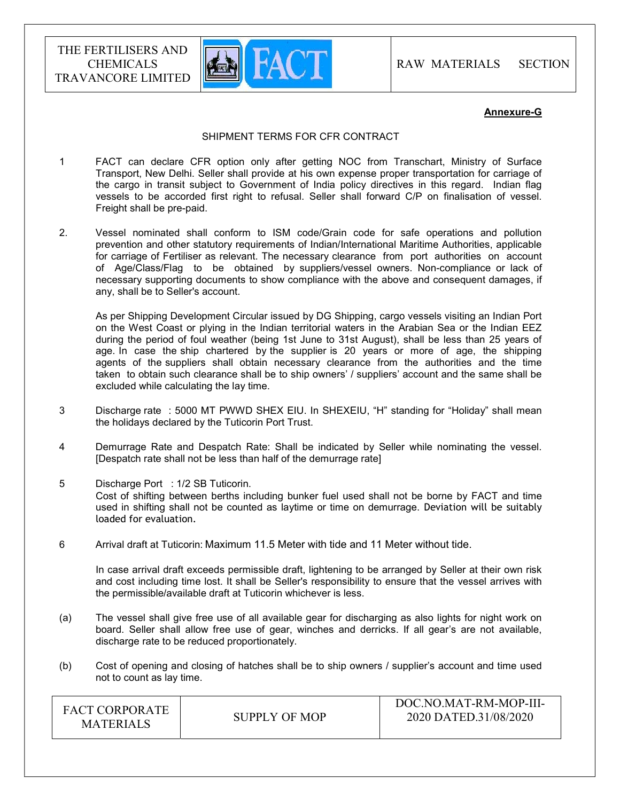

#### Annexure-G

#### SHIPMENT TERMS FOR CFR CONTRACT

- 1 FACT can declare CFR option only after getting NOC from Transchart, Ministry of Surface Transport, New Delhi. Seller shall provide at his own expense proper transportation for carriage of the cargo in transit subject to Government of India policy directives in this regard. Indian flag vessels to be accorded first right to refusal. Seller shall forward C/P on finalisation of vessel. Freight shall be pre-paid.
- 2. Vessel nominated shall conform to ISM code/Grain code for safe operations and pollution prevention and other statutory requirements of Indian/International Maritime Authorities, applicable for carriage of Fertiliser as relevant. The necessary clearance from port authorities on account of Age/Class/Flag to be obtained by suppliers/vessel owners. Non-compliance or lack of necessary supporting documents to show compliance with the above and consequent damages, if any, shall be to Seller's account.

 As per Shipping Development Circular issued by DG Shipping, cargo vessels visiting an Indian Port on the West Coast or plying in the Indian territorial waters in the Arabian Sea or the Indian EEZ during the period of foul weather (being 1st June to 31st August), shall be less than 25 years of age. In case the ship chartered by the supplier is 20 years or more of age, the shipping agents of the suppliers shall obtain necessary clearance from the authorities and the time taken to obtain such clearance shall be to ship owners' / suppliers' account and the same shall be excluded while calculating the lay time.

- 3 Discharge rate : 5000 MT PWWD SHEX EIU. In SHEXEIU, "H" standing for "Holiday" shall mean the holidays declared by the Tuticorin Port Trust.
- 4 Demurrage Rate and Despatch Rate: Shall be indicated by Seller while nominating the vessel. [Despatch rate shall not be less than half of the demurrage rate]
- 5 Discharge Port : 1/2 SB Tuticorin. Cost of shifting between berths including bunker fuel used shall not be borne by FACT and time used in shifting shall not be counted as laytime or time on demurrage. Deviation will be suitably loaded for evaluation.
- 6 Arrival draft at Tuticorin: Maximum 11.5 Meter with tide and 11 Meter without tide.

 In case arrival draft exceeds permissible draft, lightening to be arranged by Seller at their own risk and cost including time lost. It shall be Seller's responsibility to ensure that the vessel arrives with the permissible/available draft at Tuticorin whichever is less.

- (a) The vessel shall give free use of all available gear for discharging as also lights for night work on board. Seller shall allow free use of gear, winches and derricks. If all gear's are not available, discharge rate to be reduced proportionately.
- (b) Cost of opening and closing of hatches shall be to ship owners / supplier's account and time used not to count as lay time.

| <b>FACT CORPORATE</b><br><b>MATERIALS</b> | SUPPLY OF MOP | DOC.NO.MAT-RM-MOP-III-<br>2020 DATED.31/08/2020 |
|-------------------------------------------|---------------|-------------------------------------------------|
|-------------------------------------------|---------------|-------------------------------------------------|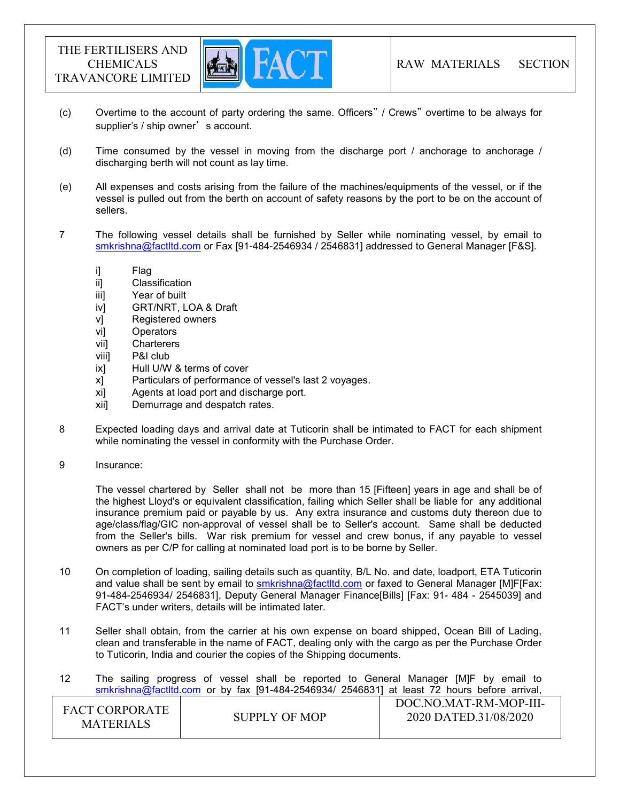

- (c) Overtime to the account of party ordering the same. Officers" / Crews" overtime to be always for supplier's / ship owner's account.
- (d) Time consumed by the vessel in moving from the discharge port / anchorage to anchorage / discharging berth will not count as lay time.
- (e) All expenses and costs arising from the failure of the machines/equipments of the vessel, or if the vessel is pulled out from the berth on account of safety reasons by the port to be on the account of sellers.
- 7 The following vessel details shall be furnished by Seller while nominating vessel, by email to smkrishna@factltd.com or Fax [91-484-2546934 / 2546831] addressed to General Manager [F&S].
	- i] Flag
	- ii] Classification
	- iii] Year of built
	- iv] GRT/NRT, LOA & Draft
	- v] Registered owners
	- vi] Operators
	- vii] Charterers
	- viii] P&I club
	- ix] Hull U/W & terms of cover
	- x] Particulars of performance of vessel's last 2 voyages.
	- xi] Agents at load port and discharge port.
	- xii] Demurrage and despatch rates.
- 8 Expected loading days and arrival date at Tuticorin shall be intimated to FACT for each shipment while nominating the vessel in conformity with the Purchase Order.
- 9 Insurance:

 The vessel chartered by Seller shall not be more than 15 [Fifteen] years in age and shall be of the highest Lloyd's or equivalent classification, failing which Seller shall be liable for any additional insurance premium paid or payable by us. Any extra insurance and customs duty thereon due to age/class/flag/GIC non-approval of vessel shall be to Seller's account. Same shall be deducted from the Seller's bills. War risk premium for vessel and crew bonus, if any payable to vessel owners as per C/P for calling at nominated load port is to be borne by Seller.

- 10 On completion of loading, sailing details such as quantity, B/L No. and date, loadport, ETA Tuticorin and value shall be sent by email to smkrishna@factltd.com or faxed to General Manager [M]F[Fax: 91-484-2546934/ 2546831], Deputy General Manager Finance[Bills] [Fax: 91- 484 - 2545039] and FACT's under writers, details will be intimated later.
- 11 Seller shall obtain, from the carrier at his own expense on board shipped, Ocean Bill of Lading, clean and transferable in the name of FACT, dealing only with the cargo as per the Purchase Order to Tuticorin, India and courier the copies of the Shipping documents.
- 12 The sailing progress of vessel shall be reported to General Manager [M]F by email to smkrishna@factltd.com or by fax [91-484-2546934/ 2546831] at least 72 hours before arrival,

| <b>FACT CORPORATE</b><br><b>MATERIALS</b> | SUPPLY OF MOP | DOC.NO.MAT-RM-MOP-III-<br>2020 DATED.31/08/2020 |
|-------------------------------------------|---------------|-------------------------------------------------|
|-------------------------------------------|---------------|-------------------------------------------------|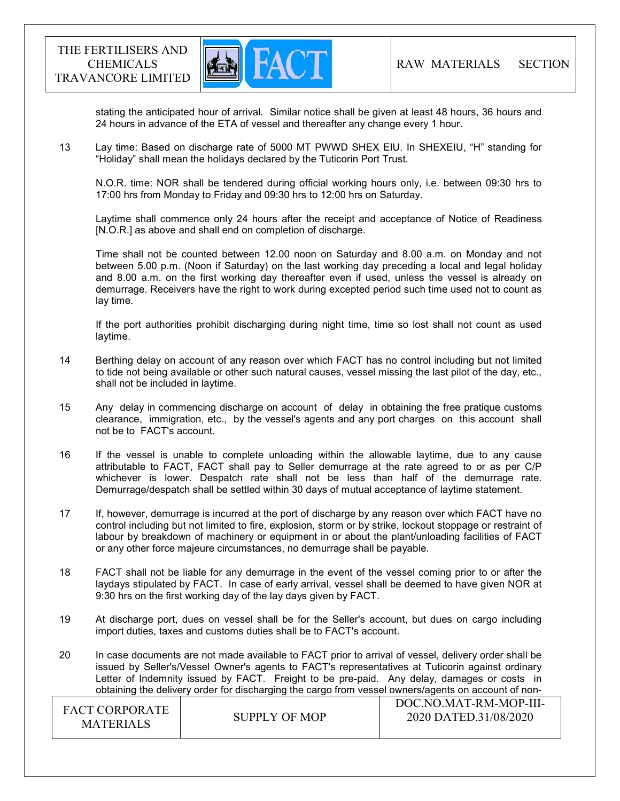

stating the anticipated hour of arrival. Similar notice shall be given at least 48 hours, 36 hours and 24 hours in advance of the ETA of vessel and thereafter any change every 1 hour.

13 Lay time: Based on discharge rate of 5000 MT PWWD SHEX EIU. In SHEXEIU, "H" standing for "Holiday" shall mean the holidays declared by the Tuticorin Port Trust.

 N.O.R. time: NOR shall be tendered during official working hours only, i.e. between 09:30 hrs to 17:00 hrs from Monday to Friday and 09:30 hrs to 12:00 hrs on Saturday.

 Laytime shall commence only 24 hours after the receipt and acceptance of Notice of Readiness [N.O.R.] as above and shall end on completion of discharge.

 Time shall not be counted between 12.00 noon on Saturday and 8.00 a.m. on Monday and not between 5.00 p.m. (Noon if Saturday) on the last working day preceding a local and legal holiday and 8.00 a.m. on the first working day thereafter even if used, unless the vessel is already on demurrage. Receivers have the right to work during excepted period such time used not to count as lay time.

 If the port authorities prohibit discharging during night time, time so lost shall not count as used laytime.

- 14 Berthing delay on account of any reason over which FACT has no control including but not limited to tide not being available or other such natural causes, vessel missing the last pilot of the day, etc., shall not be included in laytime.
- 15 Any delay in commencing discharge on account of delay in obtaining the free pratique customs clearance, immigration, etc., by the vessel's agents and any port charges on this account shall not be to FACT's account.
- 16 If the vessel is unable to complete unloading within the allowable laytime, due to any cause attributable to FACT, FACT shall pay to Seller demurrage at the rate agreed to or as per C/P whichever is lower. Despatch rate shall not be less than half of the demurrage rate. Demurrage/despatch shall be settled within 30 days of mutual acceptance of laytime statement.
- 17 If, however, demurrage is incurred at the port of discharge by any reason over which FACT have no control including but not limited to fire, explosion, storm or by strike, lockout stoppage or restraint of labour by breakdown of machinery or equipment in or about the plant/unloading facilities of FACT or any other force majeure circumstances, no demurrage shall be payable.
- 18 FACT shall not be liable for any demurrage in the event of the vessel coming prior to or after the laydays stipulated by FACT. In case of early arrival, vessel shall be deemed to have given NOR at 9:30 hrs on the first working day of the lay days given by FACT.
- 19 At discharge port, dues on vessel shall be for the Seller's account, but dues on cargo including import duties, taxes and customs duties shall be to FACT's account.
- 20 In case documents are not made available to FACT prior to arrival of vessel, delivery order shall be issued by Seller's/Vessel Owner's agents to FACT's representatives at Tuticorin against ordinary Letter of Indemnity issued by FACT. Freight to be pre-paid. Any delay, damages or costs in obtaining the delivery order for discharging the cargo from vessel owners/agents on account of non-

| <b>FACT CORPORATE</b><br><b>MATERIALS</b> | SUPPLY OF MOP | DOC.NO.MAT-RM-MOP-III-<br>2020 DATED.31/08/2020 |
|-------------------------------------------|---------------|-------------------------------------------------|
|-------------------------------------------|---------------|-------------------------------------------------|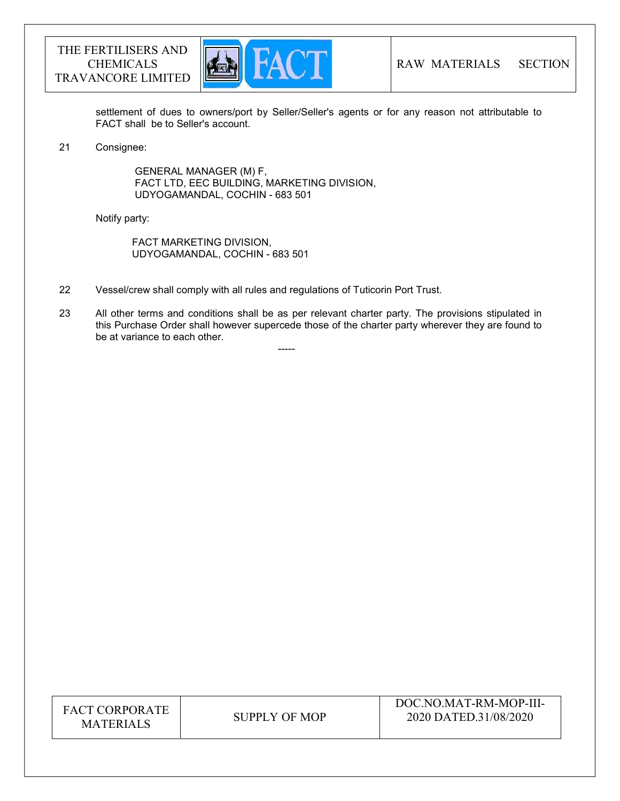

settlement of dues to owners/port by Seller/Seller's agents or for any reason not attributable to FACT shall be to Seller's account.

21 Consignee:

 GENERAL MANAGER (M) F, FACT LTD, EEC BUILDING, MARKETING DIVISION, UDYOGAMANDAL, COCHIN - 683 501

Notify party:

 FACT MARKETING DIVISION, UDYOGAMANDAL, COCHIN - 683 501

-----

- 22 Vessel/crew shall comply with all rules and regulations of Tuticorin Port Trust.
- 23 All other terms and conditions shall be as per relevant charter party. The provisions stipulated in this Purchase Order shall however supercede those of the charter party wherever they are found to be at variance to each other.

FACT CORPORATE ET CONFONATE SUPPLY OF MOP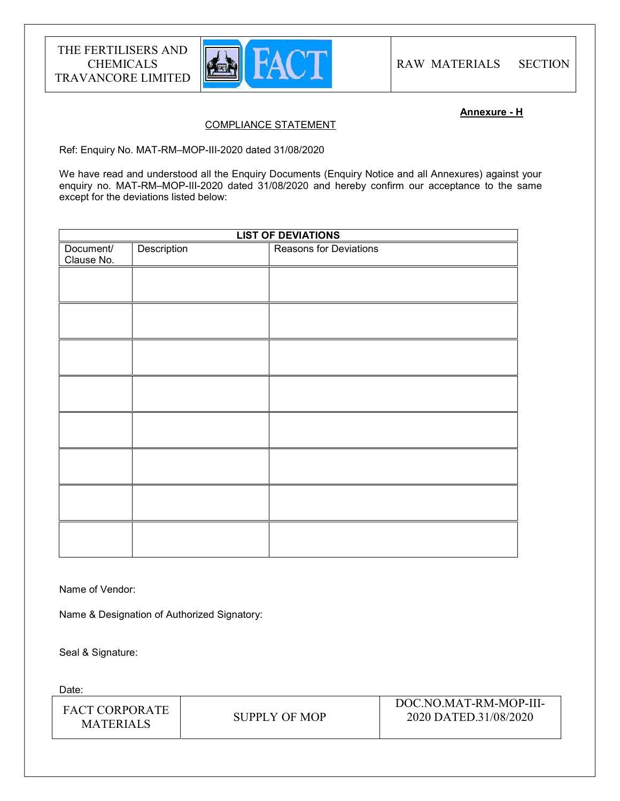

#### Annexure - H

## COMPLIANCE STATEMENT

Ref: Enquiry No. MAT-RM–MOP-III-2020 dated 31/08/2020

We have read and understood all the Enquiry Documents (Enquiry Notice and all Annexures) against your enquiry no. MAT-RM-MOP-III-2020 dated 31/08/2020 and hereby confirm our acceptance to the same except for the deviations listed below:

| <b>LIST OF DEVIATIONS</b> |             |                        |
|---------------------------|-------------|------------------------|
| Document/<br>Clause No.   | Description | Reasons for Deviations |
|                           |             |                        |
|                           |             |                        |
|                           |             |                        |
|                           |             |                        |
|                           |             |                        |
|                           |             |                        |
|                           |             |                        |
|                           |             |                        |
|                           |             |                        |

Name of Vendor:

Name & Designation of Authorized Signatory:

Seal & Signature:

Date:

| <b>FACT CORPORATE</b><br>SUPPLY OF MOP<br><b>MATERIALS</b> | DOC.NO.MAT-RM-MOP-III-<br>2020 DATED.31/08/2020 |
|------------------------------------------------------------|-------------------------------------------------|
|------------------------------------------------------------|-------------------------------------------------|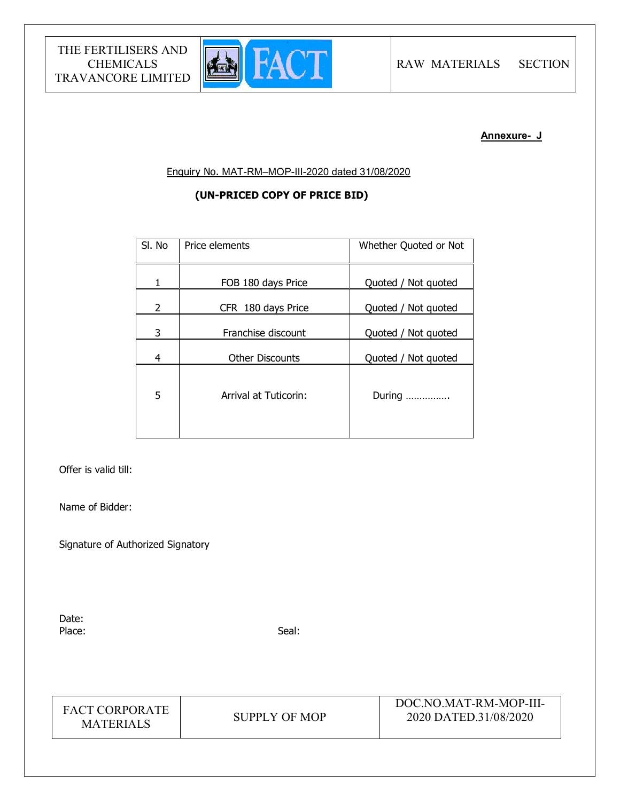

#### Annexure- J

Enquiry No. MAT-RM–MOP-III-2020 dated 31/08/2020

# (UN-PRICED COPY OF PRICE BID)

| SI. No         | Price elements         | Whether Quoted or Not |
|----------------|------------------------|-----------------------|
| 1              | FOB 180 days Price     | Quoted / Not quoted   |
| $\overline{2}$ | CFR 180 days Price     | Quoted / Not quoted   |
| 3              | Franchise discount     | Quoted / Not quoted   |
| 4              | <b>Other Discounts</b> | Quoted / Not quoted   |
| 5              | Arrival at Tuticorin:  | During                |

Offer is valid till:

Name of Bidder:

Signature of Authorized Signatory

Date: Place: Seal: Seal: Seal: Seal: Seal: Seal: Seal: Seal: Seal: Seal: Seal: Seal: Seal: Seal: Seal: Seal: Seal: Seal: Seal: Seal: Seal: Seal: Seal: Seal: Seal: Seal: Seal: Seal: Seal: Seal: Seal: Seal: Seal: Seal: Seal: Seal:

FACT CORPORATE MATERIALS SUPPLY OF MOP

DOC.NO.MAT-RM-MOP-III-2020 DATED.31/08/2020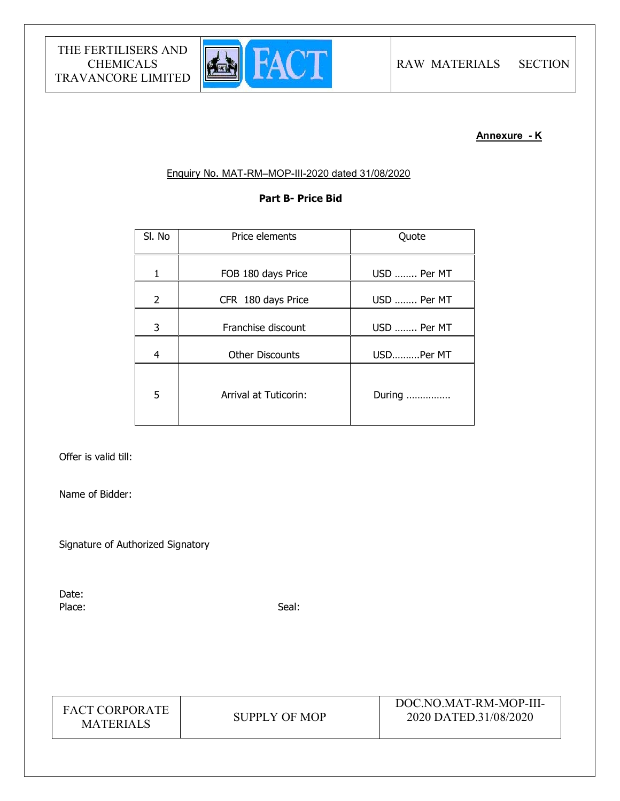

# Annexure - K

## Enquiry No. MAT-RM–MOP-III-2020 dated 31/08/2020

## Part B- Price Bid

| SI. No | Price elements         | Quote       |
|--------|------------------------|-------------|
| 1      | FOB 180 days Price     | USD  Per MT |
| 2      | CFR 180 days Price     | USD  Per MT |
| 3      | Franchise discount     | USD  Per MT |
| 4      | <b>Other Discounts</b> | USDPer MT   |
| 5      | Arrival at Tuticorin:  | During      |

Offer is valid till:

Name of Bidder:

Signature of Authorized Signatory

Date: Place: Seal: Seal: Seal: Seal: Seal: Seal: Seal: Seal: Seal: Seal: Seal: Seal: Seal: Seal: Seal: Seal: Seal: Seal: Seal: Seal: Seal: Seal: Seal: Seal: Seal: Seal: Seal: Seal: Seal: Seal: Seal: Seal: Seal: Seal: Seal: Seal:

FACT CORPORATE MATERIALS SUPPLY OF MOP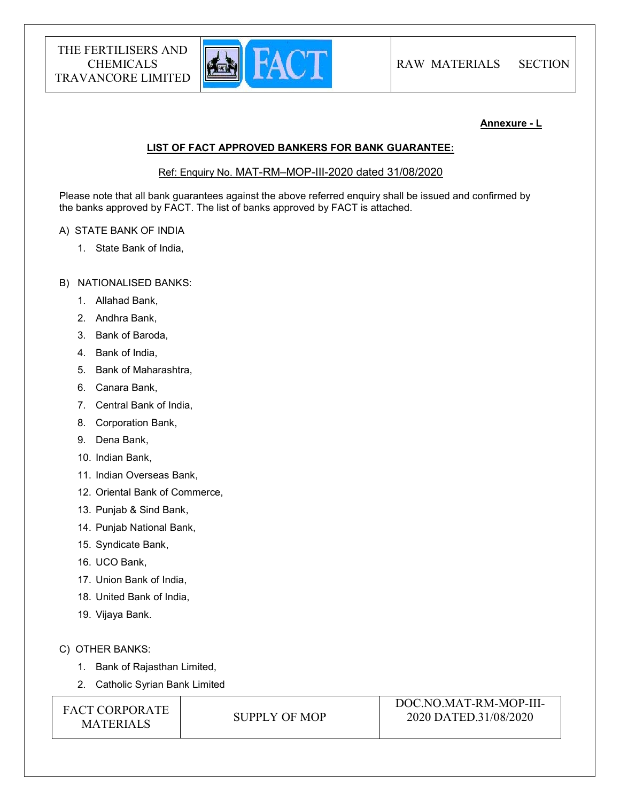

#### Annexure - L

#### LIST OF FACT APPROVED BANKERS FOR BANK GUARANTEE:

#### Ref: Enquiry No. MAT-RM–MOP-III-2020 dated 31/08/2020

Please note that all bank guarantees against the above referred enquiry shall be issued and confirmed by the banks approved by FACT. The list of banks approved by FACT is attached.

#### A) STATE BANK OF INDIA

1. State Bank of India,

#### B) NATIONALISED BANKS:

- 1. Allahad Bank,
- 2. Andhra Bank,
- 3. Bank of Baroda,
- 4. Bank of India,
- 5. Bank of Maharashtra,
- 6. Canara Bank,
- 7. Central Bank of India,
- 8. Corporation Bank,
- 9. Dena Bank,
- 10. Indian Bank,
- 11. Indian Overseas Bank,
- 12. Oriental Bank of Commerce,
- 13. Punjab & Sind Bank,
- 14. Punjab National Bank,
- 15. Syndicate Bank,
- 16. UCO Bank,
- 17. Union Bank of India,
- 18. United Bank of India,
- 19. Vijaya Bank.

#### C) OTHER BANKS:

- 1. Bank of Rajasthan Limited,
- 2. Catholic Syrian Bank Limited

FACT CORPORATE ET CONFONATE SUPPLY OF MOP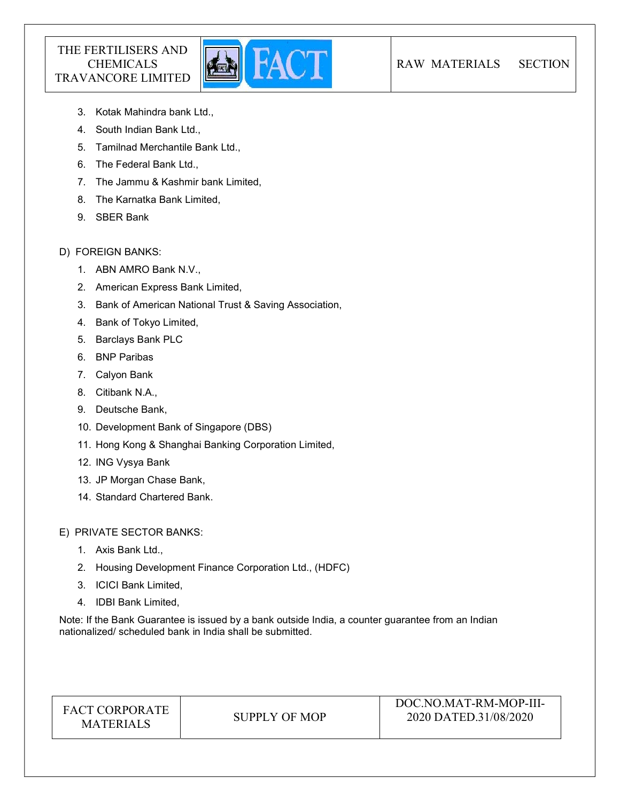

- 3. Kotak Mahindra bank Ltd.,
- 4. South Indian Bank Ltd.,
- 5. Tamilnad Merchantile Bank Ltd.,
- 6. The Federal Bank Ltd.,
- 7. The Jammu & Kashmir bank Limited,
- 8. The Karnatka Bank Limited,
- 9. SBER Bank

# D) FOREIGN BANKS:

- 1. ABN AMRO Bank N.V.,
- 2. American Express Bank Limited,
- 3. Bank of American National Trust & Saving Association,
- 4. Bank of Tokyo Limited,
- 5. Barclays Bank PLC
- 6. BNP Paribas
- 7. Calyon Bank
- 8. Citibank N.A.,
- 9. Deutsche Bank,
- 10. Development Bank of Singapore (DBS)
- 11. Hong Kong & Shanghai Banking Corporation Limited,
- 12. ING Vysya Bank
- 13. JP Morgan Chase Bank,
- 14. Standard Chartered Bank.

E) PRIVATE SECTOR BANKS:

- 1. Axis Bank Ltd.,
- 2. Housing Development Finance Corporation Ltd., (HDFC)
- 3. ICICI Bank Limited,
- 4. IDBI Bank Limited,

Note: If the Bank Guarantee is issued by a bank outside India, a counter guarantee from an Indian nationalized/ scheduled bank in India shall be submitted.

| <b>FACT CORPORATE</b> |
|-----------------------|
| <b>MATERIALS</b>      |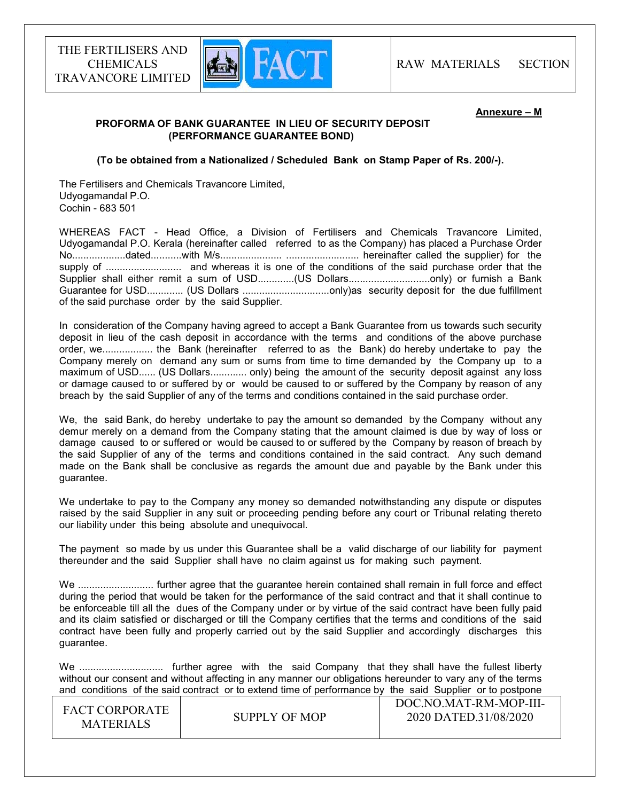

#### Annexure – M

### PROFORMA OF BANK GUARANTEE IN LIEU OF SECURITY DEPOSIT (PERFORMANCE GUARANTEE BOND)

(To be obtained from a Nationalized / Scheduled Bank on Stamp Paper of Rs. 200/-).

The Fertilisers and Chemicals Travancore Limited, Udyogamandal P.O. Cochin - 683 501

WHEREAS FACT - Head Office, a Division of Fertilisers and Chemicals Travancore Limited, Udyogamandal P.O. Kerala (hereinafter called referred to as the Company) has placed a Purchase Order No...................dated...........with M/s...................... .......................... hereinafter called the supplier) for the supply of ........................... and whereas it is one of the conditions of the said purchase order that the Supplier shall either remit a sum of USD.............(US Dollars.............................only) or furnish a Bank Guarantee for USD............. (US Dollars ...............................only)as security deposit for the due fulfillment of the said purchase order by the said Supplier.

In consideration of the Company having agreed to accept a Bank Guarantee from us towards such security deposit in lieu of the cash deposit in accordance with the terms and conditions of the above purchase order, we.................. the Bank (hereinafter referred to as the Bank) do hereby undertake to pay the Company merely on demand any sum or sums from time to time demanded by the Company up to a maximum of USD...... (US Dollars............. only) being the amount of the security deposit against any loss or damage caused to or suffered by or would be caused to or suffered by the Company by reason of any breach by the said Supplier of any of the terms and conditions contained in the said purchase order.

We, the said Bank, do hereby undertake to pay the amount so demanded by the Company without any demur merely on a demand from the Company stating that the amount claimed is due by way of loss or damage caused to or suffered or would be caused to or suffered by the Company by reason of breach by the said Supplier of any of the terms and conditions contained in the said contract. Any such demand made on the Bank shall be conclusive as regards the amount due and payable by the Bank under this guarantee.

We undertake to pay to the Company any money so demanded notwithstanding any dispute or disputes raised by the said Supplier in any suit or proceeding pending before any court or Tribunal relating thereto our liability under this being absolute and unequivocal.

The payment so made by us under this Guarantee shall be a valid discharge of our liability for payment thereunder and the said Supplier shall have no claim against us for making such payment.

We ............................... further agree that the quarantee herein contained shall remain in full force and effect during the period that would be taken for the performance of the said contract and that it shall continue to be enforceable till all the dues of the Company under or by virtue of the said contract have been fully paid and its claim satisfied or discharged or till the Company certifies that the terms and conditions of the said contract have been fully and properly carried out by the said Supplier and accordingly discharges this guarantee.

We .............................. further agree with the said Company that they shall have the fullest liberty without our consent and without affecting in any manner our obligations hereunder to vary any of the terms and conditions of the said contract or to extend time of performance by the said Supplier or to postpone

| <b>FACT CORPORATE</b><br><b>MATERIALS</b> | SUPPLY OF MOP | DOC.NO.MAT-RM-MOP-III-<br>2020 DATED.31/08/2020 |
|-------------------------------------------|---------------|-------------------------------------------------|
|-------------------------------------------|---------------|-------------------------------------------------|